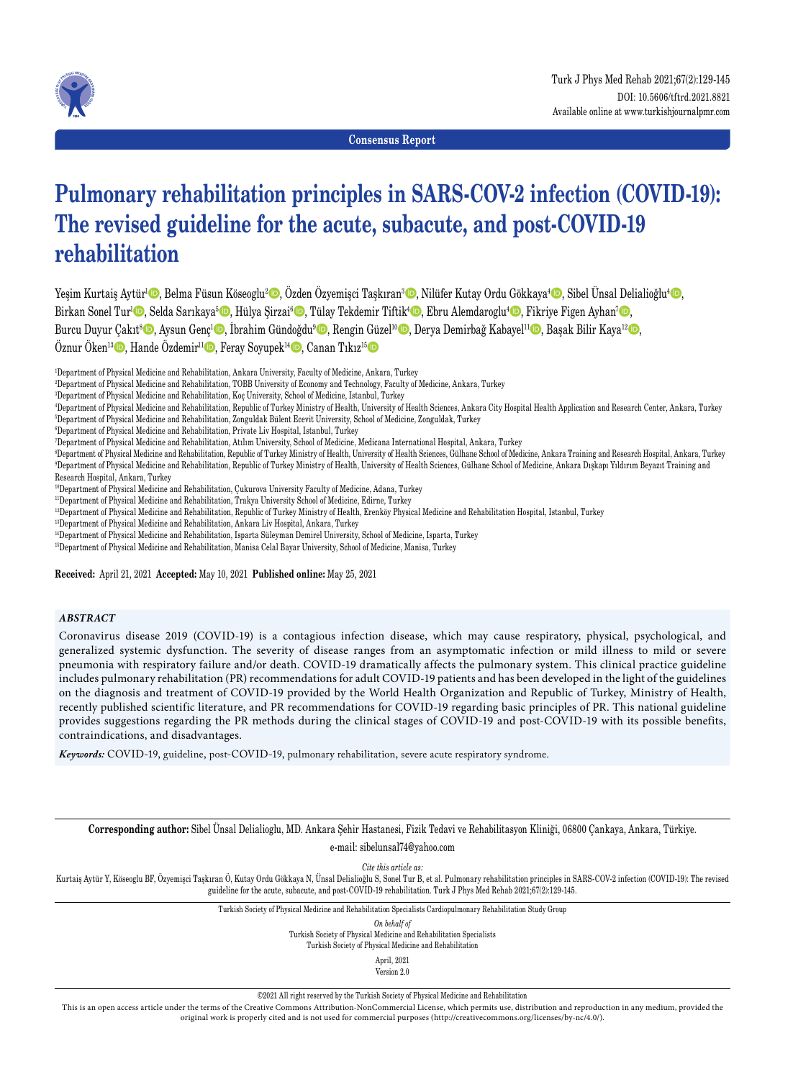

**Consensus Report**

# **Pulmonary rehabilitation principles in SARS-COV-2 infection (COVID-19): The revised guideline for the acute, subacute, and post-COVID-19 rehabilitation**

Yeşim Kurtaiş Aytür<sup>ı</sup>©, Belma Füsun Köseoglu<sup>2</sup>©, Özden Özyemişci Taşkıran<sup>3</sup>©, Nilüfer Kutay Ordu Gökkaya<sup>4</sup>©, Sibel Ünsal Delialioğlu<sup>4</sup>©, Birkan Sonel Tur<sup>ı</sup>©, Selda Sarıkaya<sup>5</sup>©, Hülya Şirzai<sup>6</sup>©, Tülay Tekdemir Tiftik<sup>4</sup>©, Ebru Alemdaroglu<sup>4</sup>©, Fikriye Figen Ayhan<sup>7</sup>©, Burcu Duyur Çakıt<sup>s</sup>©, Aysun Genç<sup>ı</sup>©, İbrahim Gündoğdu<sup>9</sup>©, Rengin Güzel<sup>10</sup>©, Derya Demirbağ Kabayel<sup>11</sup>©, Başak Bilir Kaya<sup>12</sup>©, Öznur Öken<sup>13</sup> $\bullet$ , Hande Özdemir<sup>11</sup> $\bullet$ , Feray Soyupek<sup>14</sup> $\bullet$ , Canan Tıkız<sup>15</sup>

1 Department of Physical Medicine and Rehabilitation, Ankara University, Faculty of Medicine, Ankara, Turkey

- 2 Department of Physical Medicine and Rehabilitation, TOBB University of Economy and Technology, Faculty of Medicine, Ankara, Turkey
- 3 Department of Physical Medicine and Rehabilitation, Koç University, School of Medicine, Istanbul, Turkey

4 Department of Physical Medicine and Rehabilitation, Republic of Turkey Ministry of Health, University of Health Sciences, Ankara City Hospital Health Application and Research Center, Ankara, Turkey 5 Department of Physical Medicine and Rehabilitation, Zonguldak Bülent Ecevit University, School of Medicine, Zonguldak, Turkey

6 Department of Physical Medicine and Rehabilitation, Private Liv Hospital, Istanbul, Turkey

7 Department of Physical Medicine and Rehabilitation, Atılım University, School of Medicine, Medicana International Hospital, Ankara, Turkey

8 Department of Physical Medicine and Rehabilitation, Republic of Turkey Ministry of Health, University of Health Sciences, Gülhane School of Medicine, Ankara Training and Research Hospital, Ankara, Turkey 9 Department of Physical Medicine and Rehabilitation, Republic of Turkey Ministry of Health, University of Health Sciences, Gülhane School of Medicine, Ankara Dışkapı Yıldırım Beyazıt Training and Research Hospital, Ankara, Turkey

10Department of Physical Medicine and Rehabilitation, Çukurova University Faculty of Medicine, Adana, Turkey

11Department of Physical Medicine and Rehabilitation, Trakya University School of Medicine, Edirne, Turkey

<sup>12</sup>Department of Physical Medicine and Rehabilitation, Republic of Turkey Ministry of Health, Erenköy Physical Medicine and Rehabilitation Hospital, Istanbul, Turkey

13Department of Physical Medicine and Rehabilitation, Ankara Liv Hospital, Ankara, Turkey

14Department of Physical Medicine and Rehabilitation, Isparta Süleyman Demirel University, School of Medicine, Isparta, Turkey

<sup>15</sup>Department of Physical Medicine and Rehabilitation, Manisa Celal Bayar University, School of Medicine, Manisa, Turkey

**Received:** April 21, 2021 **Accepted:** May 10, 2021 **Published online:** May 25, 2021

### *ABSTRACT*

Coronavirus disease 2019 (COVID-19) is a contagious infection disease, which may cause respiratory, physical, psychological, and generalized systemic dysfunction. The severity of disease ranges from an asymptomatic infection or mild illness to mild or severe pneumonia with respiratory failure and/or death. COVID-19 dramatically affects the pulmonary system. This clinical practice guideline includes pulmonary rehabilitation (PR) recommendations for adult COVID-19 patients and has been developed in the light of the guidelines on the diagnosis and treatment of COVID-19 provided by the World Health Organization and Republic of Turkey, Ministry of Health, recently published scientific literature, and PR recommendations for COVID-19 regarding basic principles of PR. This national guideline provides suggestions regarding the PR methods during the clinical stages of COVID-19 and post-COVID-19 with its possible benefits, contraindications, and disadvantages.

*Keywords:* COVID-19, guideline, post-COVID-19, pulmonary rehabilitation, severe acute respiratory syndrome.

**Corresponding author:** Sibel Ünsal Delialioglu, MD. Ankara Şehir Hastanesi, Fizik Tedavi ve Rehabilitasyon Kliniği, 06800 Çankaya, Ankara, Türkiye. e-mail: sibelunsal74@yahoo.com

*Cite this article as:*

Kurtaiş Aytür Y, Köseoglu BF, Özyemişci Taşkıran Ö, Kutay Ordu Gökkaya N, Ünsal Delialioğlu S, Sonel Tur B, et al. Pulmonary rehabilitation principles in SARS-COV-2 infection (COVID-19): The revised guideline for the acute, subacute, and post-COVID-19 rehabilitation. Turk J Phys Med Rehab 2021;67(2):129-145.

Turkish Society of Physical Medicine and Rehabilitation Specialists Cardiopulmonary Rehabilitation Study Group

*On behalf of*

Turkish Society of Physical Medicine and Rehabilitation Specialists Turkish Society of Physical Medicine and Rehabilitation

April, 2021 Version 2.0

©2021 All right reserved by the Turkish Society of Physical Medicine and Rehabilitation

This is an open access article under the terms of the Creative Commons Attribution-NonCommercial License, which permits use, distribution and reproduction in any medium, provided the original work is properly cited and is not used for commercial purposes (http://creativecommons.org/licenses/by-nc/4.0/).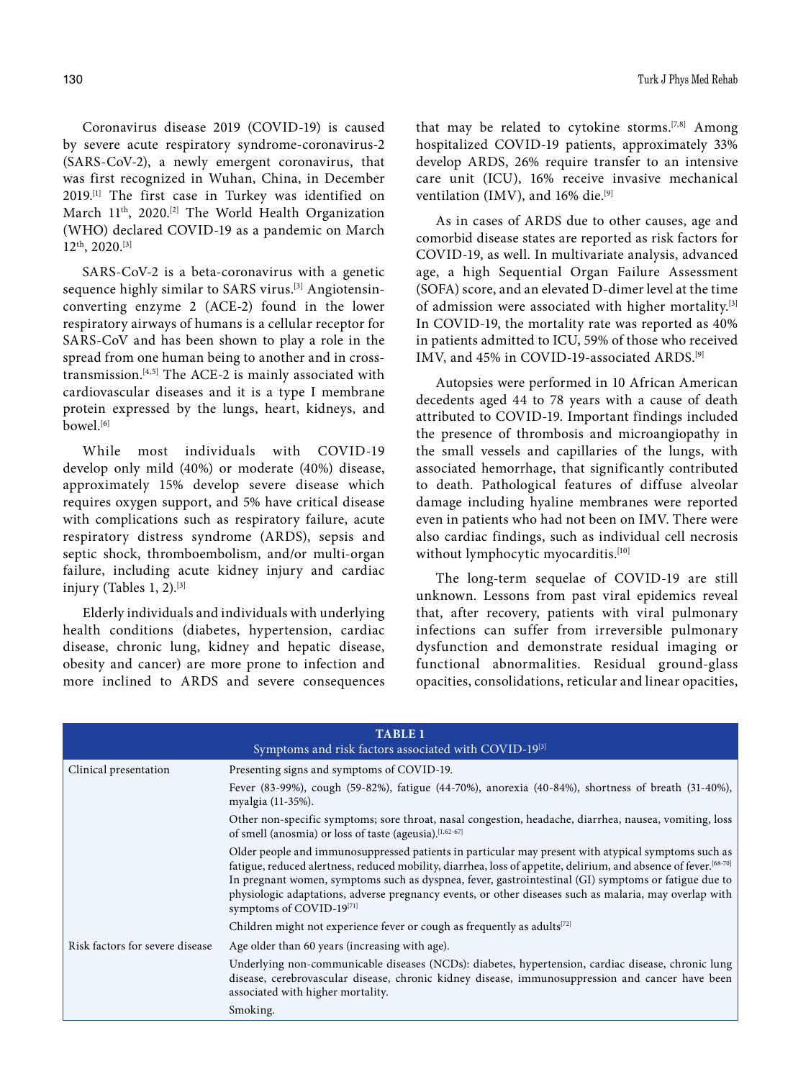Coronavirus disease 2019 (COVID-19) is caused by severe acute respiratory syndrome-coronavirus-2 (SARS-CoV-2), a newly emergent coronavirus, that was first recognized in Wuhan, China, in December 2019.[1] The first case in Turkey was identified on March 11<sup>th</sup>, 2020.<sup>[2]</sup> The World Health Organization (WHO) declared COVID-19 as a pandemic on March 12th, 2020.[3]

SARS-CoV-2 is a beta-coronavirus with a genetic sequence highly similar to SARS virus.<sup>[3]</sup> Angiotensinconverting enzyme 2 (ACE-2) found in the lower respiratory airways of humans is a cellular receptor for SARS-CoV and has been shown to play a role in the spread from one human being to another and in crosstransmission.[4,5] The ACE-2 is mainly associated with cardiovascular diseases and it is a type I membrane protein expressed by the lungs, heart, kidneys, and bowel.<sup>[6]</sup>

While most individuals with COVID-19 develop only mild (40%) or moderate (40%) disease, approximately 15% develop severe disease which requires oxygen support, and 5% have critical disease with complications such as respiratory failure, acute respiratory distress syndrome (ARDS), sepsis and septic shock, thromboembolism, and/or multi-organ failure, including acute kidney injury and cardiac injury (Tables 1, 2). $[3]$ 

Elderly individuals and individuals with underlying health conditions (diabetes, hypertension, cardiac disease, chronic lung, kidney and hepatic disease, obesity and cancer) are more prone to infection and more inclined to ARDS and severe consequences

that may be related to cytokine storms.<sup>[7,8]</sup> Among hospitalized COVID-19 patients, approximately 33% develop ARDS, 26% require transfer to an intensive care unit (ICU), 16% receive invasive mechanical ventilation (IMV), and 16% die.<sup>[9]</sup>

As in cases of ARDS due to other causes, age and comorbid disease states are reported as risk factors for COVID-19, as well. In multivariate analysis, advanced age, a high Sequential Organ Failure Assessment (SOFA) score, and an elevated D-dimer level at the time of admission were associated with higher mortality.[3] In COVID-19, the mortality rate was reported as 40% in patients admitted to ICU, 59% of those who received IMV, and 45% in COVID-19-associated ARDS.[9]

Autopsies were performed in 10 African American decedents aged 44 to 78 years with a cause of death attributed to COVID-19. Important findings included the presence of thrombosis and microangiopathy in the small vessels and capillaries of the lungs, with associated hemorrhage, that significantly contributed to death. Pathological features of diffuse alveolar damage including hyaline membranes were reported even in patients who had not been on IMV. There were also cardiac findings, such as individual cell necrosis without lymphocytic myocarditis.<sup>[10]</sup>

The long-term sequelae of COVID-19 are still unknown. Lessons from past viral epidemics reveal that, after recovery, patients with viral pulmonary infections can suffer from irreversible pulmonary dysfunction and demonstrate residual imaging or functional abnormalities. Residual ground-glass opacities, consolidations, reticular and linear opacities,

| <b>TABLE 1</b><br>Symptoms and risk factors associated with COVID-19 <sup>[3]</sup> |                                                                                                                                                                                                                                                                                                                                                                                                                                                                       |  |  |
|-------------------------------------------------------------------------------------|-----------------------------------------------------------------------------------------------------------------------------------------------------------------------------------------------------------------------------------------------------------------------------------------------------------------------------------------------------------------------------------------------------------------------------------------------------------------------|--|--|
| Clinical presentation                                                               | Presenting signs and symptoms of COVID-19.                                                                                                                                                                                                                                                                                                                                                                                                                            |  |  |
|                                                                                     | Fever (83-99%), cough (59-82%), fatigue (44-70%), anorexia (40-84%), shortness of breath (31-40%),<br>myalgia (11-35%).                                                                                                                                                                                                                                                                                                                                               |  |  |
|                                                                                     | Other non-specific symptoms; sore throat, nasal congestion, headache, diarrhea, nausea, vomiting, loss<br>of smell (anosmia) or loss of taste (ageusia). <sup>[1,62-67]</sup>                                                                                                                                                                                                                                                                                         |  |  |
|                                                                                     | Older people and immunosuppressed patients in particular may present with atypical symptoms such as<br>fatigue, reduced alertness, reduced mobility, diarrhea, loss of appetite, delirium, and absence of fever.[68-70]<br>In pregnant women, symptoms such as dyspnea, fever, gastrointestinal (GI) symptoms or fatigue due to<br>physiologic adaptations, adverse pregnancy events, or other diseases such as malaria, may overlap with<br>symptoms of COVID-19[71] |  |  |
|                                                                                     | Children might not experience fever or cough as frequently as adults $[72]$                                                                                                                                                                                                                                                                                                                                                                                           |  |  |
| Risk factors for severe disease                                                     | Age older than 60 years (increasing with age).                                                                                                                                                                                                                                                                                                                                                                                                                        |  |  |
|                                                                                     | Underlying non-communicable diseases (NCDs): diabetes, hypertension, cardiac disease, chronic lung<br>disease, cerebrovascular disease, chronic kidney disease, immunosuppression and cancer have been<br>associated with higher mortality.                                                                                                                                                                                                                           |  |  |
|                                                                                     | Smoking.                                                                                                                                                                                                                                                                                                                                                                                                                                                              |  |  |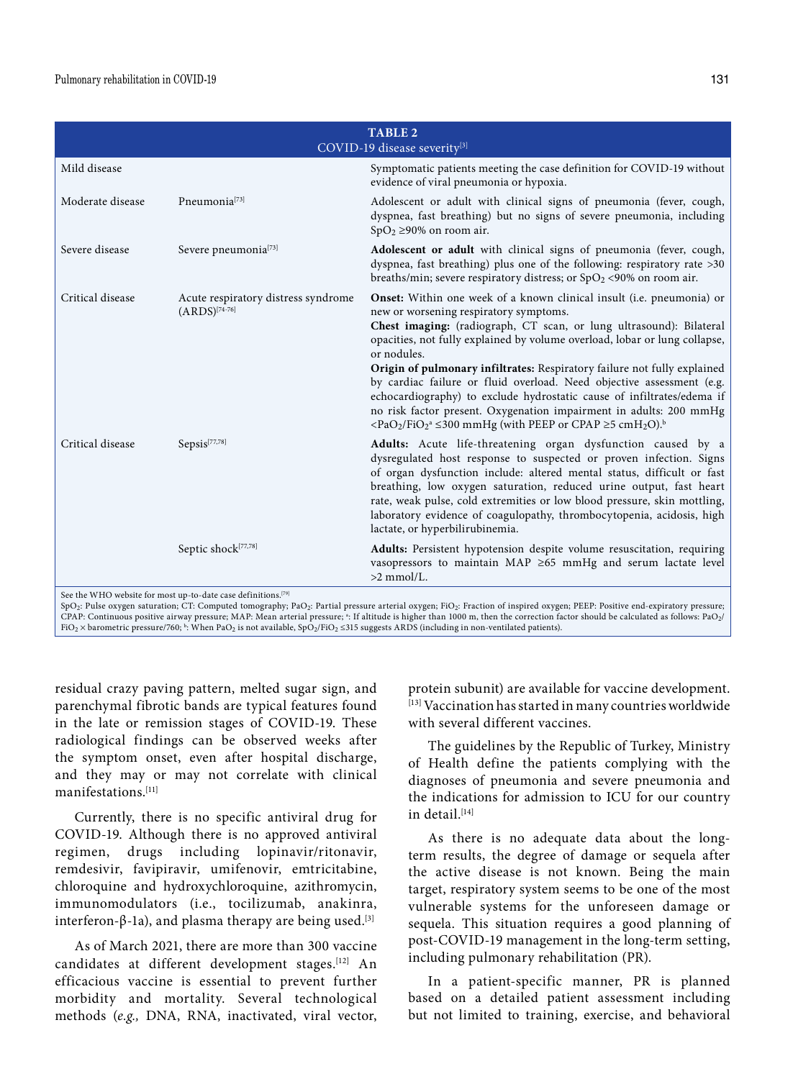| <b>TABLE 2</b><br>COVID-19 disease severity <sup>[3]</sup> |                                                                                                                                                                         |                                                                                                                                                                                                                                                                                                                                                                                                                                                                                                                                                                                                                                                                                                                    |  |
|------------------------------------------------------------|-------------------------------------------------------------------------------------------------------------------------------------------------------------------------|--------------------------------------------------------------------------------------------------------------------------------------------------------------------------------------------------------------------------------------------------------------------------------------------------------------------------------------------------------------------------------------------------------------------------------------------------------------------------------------------------------------------------------------------------------------------------------------------------------------------------------------------------------------------------------------------------------------------|--|
| Mild disease                                               |                                                                                                                                                                         | Symptomatic patients meeting the case definition for COVID-19 without<br>evidence of viral pneumonia or hypoxia.                                                                                                                                                                                                                                                                                                                                                                                                                                                                                                                                                                                                   |  |
| Moderate disease                                           | Pneumonia <sup>[73]</sup>                                                                                                                                               | Adolescent or adult with clinical signs of pneumonia (fever, cough,<br>dyspnea, fast breathing) but no signs of severe pneumonia, including<br>$SpO2 \ge 90\%$ on room air.                                                                                                                                                                                                                                                                                                                                                                                                                                                                                                                                        |  |
| Severe disease                                             | Severe pneumonia $^{[73]}$                                                                                                                                              | Adolescent or adult with clinical signs of pneumonia (fever, cough,<br>dyspnea, fast breathing) plus one of the following: respiratory rate >30<br>breaths/min; severe respiratory distress; or $SpO2$ <90% on room air.                                                                                                                                                                                                                                                                                                                                                                                                                                                                                           |  |
| Critical disease                                           | Acute respiratory distress syndrome<br>$(ARDS)^{[74-76]}$                                                                                                               | <b>Onset:</b> Within one week of a known clinical insult (i.e. pneumonia) or<br>new or worsening respiratory symptoms.<br>Chest imaging: (radiograph, CT scan, or lung ultrasound): Bilateral<br>opacities, not fully explained by volume overload, lobar or lung collapse,<br>or nodules.<br>Origin of pulmonary infiltrates: Respiratory failure not fully explained<br>by cardiac failure or fluid overload. Need objective assessment (e.g.<br>echocardiography) to exclude hydrostatic cause of infiltrates/edema if<br>no risk factor present. Oxygenation impairment in adults: 200 mmHg<br><pao<sub>2/FiO<sub>2</sub><sup>a</sup> ≤300 mmHg (with PEEP or CPAP ≥5 cmH<sub>2</sub>O).<sup>b</sup></pao<sub> |  |
| Critical disease                                           | Sepsis <sup>[77,78]</sup>                                                                                                                                               | Adults: Acute life-threatening organ dysfunction caused by a<br>dysregulated host response to suspected or proven infection. Signs<br>of organ dysfunction include: altered mental status, difficult or fast<br>breathing, low oxygen saturation, reduced urine output, fast heart<br>rate, weak pulse, cold extremities or low blood pressure, skin mottling,<br>laboratory evidence of coagulopathy, thrombocytopenia, acidosis, high<br>lactate, or hyperbilirubinemia.                                                                                                                                                                                                                                         |  |
|                                                            | Septic shock <sup>[77,78]</sup><br>$\mathbf{d}$ with $\mathbf{d}$ and $\mathbf{d}$ and $\mathbf{d}$ and $\mathbf{d}$ and $\mathbf{d}$ and $\mathbf{d}$ and $\mathbf{d}$ | Adults: Persistent hypotension despite volume resuscitation, requiring<br>vasopressors to maintain MAP $\geq$ 65 mmHg and serum lactate level<br>$>2$ mmol/L.                                                                                                                                                                                                                                                                                                                                                                                                                                                                                                                                                      |  |

e the WHO website for most up-to-date case definitions.

SpO2: Pulse oxygen saturation; CT: Computed tomography; PaO2: Partial pressure arterial oxygen; FiO2: Fraction of inspired oxygen; PEEP: Positive end-expiratory pressure;<br>CPAP: Continuous positive airway pressure; MAP: Mea FiO2 × barometric pressure/760;  $^{\rm b}$ : When PaO2 is not available, SpO2/FiO2 ≤315 suggests ARDS (including in non-ventilated patients).

residual crazy paving pattern, melted sugar sign, and parenchymal fibrotic bands are typical features found in the late or remission stages of COVID-19. These radiological findings can be observed weeks after the symptom onset, even after hospital discharge, and they may or may not correlate with clinical manifestations.[11]

Currently, there is no specific antiviral drug for COVID-19. Although there is no approved antiviral regimen, drugs including lopinavir/ritonavir, remdesivir, favipiravir, umifenovir, emtricitabine, chloroquine and hydroxychloroquine, azithromycin, immunomodulators (i.e., tocilizumab, anakinra, interferon-β-1a), and plasma therapy are being used.<sup>[3]</sup>

As of March 2021, there are more than 300 vaccine candidates at different development stages.[12] An efficacious vaccine is essential to prevent further morbidity and mortality. Several technological methods (*e.g.,* DNA, RNA, inactivated, viral vector, protein subunit) are available for vaccine development. [13] Vaccination has started in many countries worldwide with several different vaccines.

The guidelines by the Republic of Turkey, Ministry of Health define the patients complying with the diagnoses of pneumonia and severe pneumonia and the indications for admission to ICU for our country in detail.[14]

As there is no adequate data about the longterm results, the degree of damage or sequela after the active disease is not known. Being the main target, respiratory system seems to be one of the most vulnerable systems for the unforeseen damage or sequela. This situation requires a good planning of post-COVID-19 management in the long-term setting, including pulmonary rehabilitation (PR).

In a patient-specific manner, PR is planned based on a detailed patient assessment including but not limited to training, exercise, and behavioral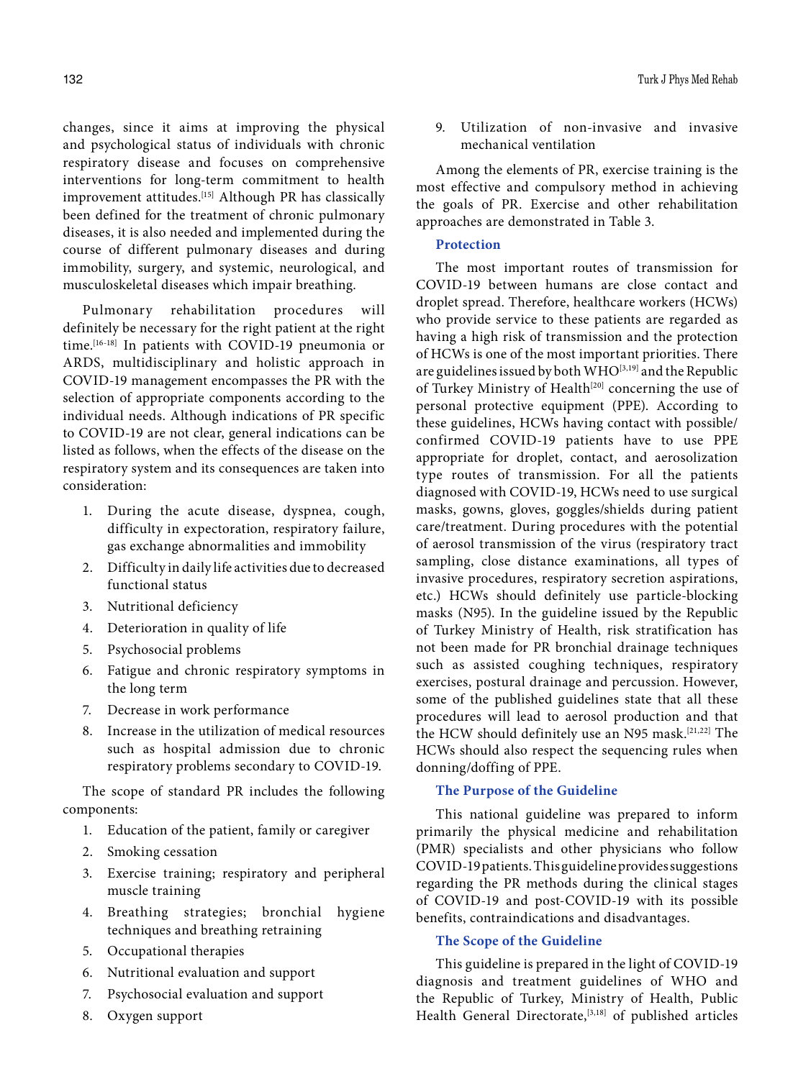changes, since it aims at improving the physical and psychological status of individuals with chronic respiratory disease and focuses on comprehensive interventions for long-term commitment to health improvement attitudes.<sup>[15]</sup> Although PR has classically been defined for the treatment of chronic pulmonary diseases, it is also needed and implemented during the course of different pulmonary diseases and during immobility, surgery, and systemic, neurological, and musculoskeletal diseases which impair breathing.

Pulmonary rehabilitation procedures will definitely be necessary for the right patient at the right time.[16-18] In patients with COVID-19 pneumonia or ARDS, multidisciplinary and holistic approach in COVID-19 management encompasses the PR with the selection of appropriate components according to the individual needs. Although indications of PR specific to COVID-19 are not clear, general indications can be listed as follows, when the effects of the disease on the respiratory system and its consequences are taken into consideration:

- 1. During the acute disease, dyspnea, cough, difficulty in expectoration, respiratory failure, gas exchange abnormalities and immobility
- 2. Difficulty in daily life activities due to decreased functional status
- 3. Nutritional deficiency
- 4. Deterioration in quality of life
- 5. Psychosocial problems
- 6. Fatigue and chronic respiratory symptoms in the long term
- 7. Decrease in work performance
- 8. Increase in the utilization of medical resources such as hospital admission due to chronic respiratory problems secondary to COVID-19.

The scope of standard PR includes the following components:

- 1. Education of the patient, family or caregiver
- 2. Smoking cessation
- 3. Exercise training; respiratory and peripheral muscle training
- 4. Breathing strategies; bronchial hygiene techniques and breathing retraining
- 5. Occupational therapies
- 6. Nutritional evaluation and support
- 7. Psychosocial evaluation and support
- 8. Oxygen support

9. Utilization of non-invasive and invasive mechanical ventilation

Among the elements of PR, exercise training is the most effective and compulsory method in achieving the goals of PR. Exercise and other rehabilitation approaches are demonstrated in Table 3.

### **Protection**

The most important routes of transmission for COVID-19 between humans are close contact and droplet spread. Therefore, healthcare workers (HCWs) who provide service to these patients are regarded as having a high risk of transmission and the protection of HCWs is one of the most important priorities. There are guidelines issued by both WHO<sup>[3,19]</sup> and the Republic of Turkey Ministry of Health<sup>[20]</sup> concerning the use of personal protective equipment (PPE). According to these guidelines, HCWs having contact with possible/ confirmed COVID-19 patients have to use PPE appropriate for droplet, contact, and aerosolization type routes of transmission. For all the patients diagnosed with COVID-19, HCWs need to use surgical masks, gowns, gloves, goggles/shields during patient care/treatment. During procedures with the potential of aerosol transmission of the virus (respiratory tract sampling, close distance examinations, all types of invasive procedures, respiratory secretion aspirations, etc.) HCWs should definitely use particle-blocking masks (N95). In the guideline issued by the Republic of Turkey Ministry of Health, risk stratification has not been made for PR bronchial drainage techniques such as assisted coughing techniques, respiratory exercises, postural drainage and percussion. However, some of the published guidelines state that all these procedures will lead to aerosol production and that the HCW should definitely use an N95 mask.[21,22] The HCWs should also respect the sequencing rules when donning/doffing of PPE.

### **The Purpose of the Guideline**

This national guideline was prepared to inform primarily the physical medicine and rehabilitation (PMR) specialists and other physicians who follow COVID-19 patients. This guideline provides suggestions regarding the PR methods during the clinical stages of COVID-19 and post-COVID-19 with its possible benefits, contraindications and disadvantages.

### **The Scope of the Guideline**

This guideline is prepared in the light of COVID-19 diagnosis and treatment guidelines of WHO and the Republic of Turkey, Ministry of Health, Public Health General Directorate,<sup>[3,18]</sup> of published articles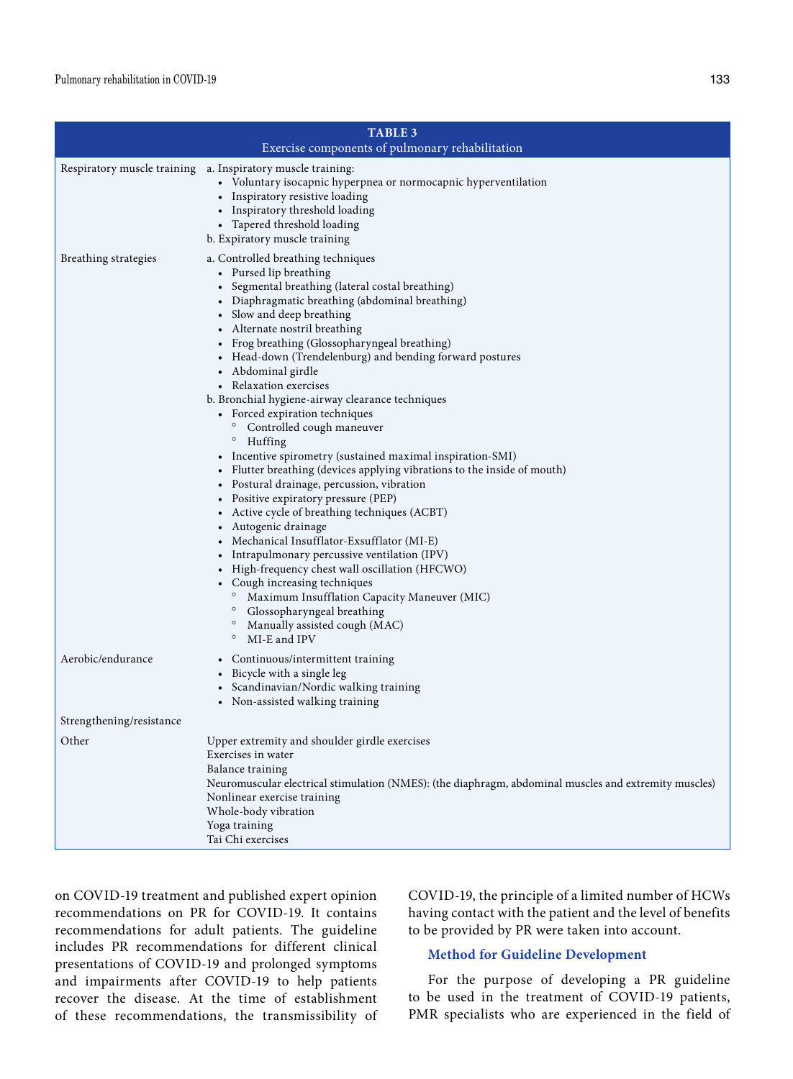| <b>TABLE 3</b><br>Exercise components of pulmonary rehabilitation |                                                                                                                                                                                                                                                                                                                                                                                                                                                                                                                                                                                                                                                                                                                                                                                                                                                                                                                                                                                                                                                                                                                                                                           |  |  |
|-------------------------------------------------------------------|---------------------------------------------------------------------------------------------------------------------------------------------------------------------------------------------------------------------------------------------------------------------------------------------------------------------------------------------------------------------------------------------------------------------------------------------------------------------------------------------------------------------------------------------------------------------------------------------------------------------------------------------------------------------------------------------------------------------------------------------------------------------------------------------------------------------------------------------------------------------------------------------------------------------------------------------------------------------------------------------------------------------------------------------------------------------------------------------------------------------------------------------------------------------------|--|--|
|                                                                   | Respiratory muscle training a. Inspiratory muscle training:<br>• Voluntary isocapnic hyperpnea or normocapnic hyperventilation<br>• Inspiratory resistive loading<br>• Inspiratory threshold loading<br>• Tapered threshold loading<br>b. Expiratory muscle training                                                                                                                                                                                                                                                                                                                                                                                                                                                                                                                                                                                                                                                                                                                                                                                                                                                                                                      |  |  |
| Breathing strategies                                              | a. Controlled breathing techniques<br>• Pursed lip breathing<br>• Segmental breathing (lateral costal breathing)<br>• Diaphragmatic breathing (abdominal breathing)<br>• Slow and deep breathing<br>• Alternate nostril breathing<br>• Frog breathing (Glossopharyngeal breathing)<br>• Head-down (Trendelenburg) and bending forward postures<br>• Abdominal girdle<br>• Relaxation exercises<br>b. Bronchial hygiene-airway clearance techniques<br>• Forced expiration techniques<br>Controlled cough maneuver<br>$\circ$<br>Huffing<br>• Incentive spirometry (sustained maximal inspiration-SMI)<br>• Flutter breathing (devices applying vibrations to the inside of mouth)<br>• Postural drainage, percussion, vibration<br>• Positive expiratory pressure (PEP)<br>• Active cycle of breathing techniques (ACBT)<br>• Autogenic drainage<br>• Mechanical Insufflator-Exsufflator (MI-E)<br>• Intrapulmonary percussive ventilation (IPV)<br>• High-frequency chest wall oscillation (HFCWO)<br>• Cough increasing techniques<br>Maximum Insufflation Capacity Maneuver (MIC)<br>$\circ$<br>Glossopharyngeal breathing<br>$\circ$<br>Manually assisted cough (MAC) |  |  |
| Aerobic/endurance                                                 | MI-E and IPV<br>• Continuous/intermittent training<br>• Bicycle with a single leg<br>• Scandinavian/Nordic walking training<br>• Non-assisted walking training                                                                                                                                                                                                                                                                                                                                                                                                                                                                                                                                                                                                                                                                                                                                                                                                                                                                                                                                                                                                            |  |  |
| Strengthening/resistance                                          |                                                                                                                                                                                                                                                                                                                                                                                                                                                                                                                                                                                                                                                                                                                                                                                                                                                                                                                                                                                                                                                                                                                                                                           |  |  |
| Other                                                             | Upper extremity and shoulder girdle exercises<br>Exercises in water<br>Balance training<br>Neuromuscular electrical stimulation (NMES): (the diaphragm, abdominal muscles and extremity muscles)<br>Nonlinear exercise training<br>Whole-body vibration<br>Yoga training<br>Tai Chi exercises                                                                                                                                                                                                                                                                                                                                                                                                                                                                                                                                                                                                                                                                                                                                                                                                                                                                             |  |  |

on COVID-19 treatment and published expert opinion recommendations on PR for COVID-19. It contains recommendations for adult patients. The guideline includes PR recommendations for different clinical presentations of COVID-19 and prolonged symptoms and impairments after COVID-19 to help patients recover the disease. At the time of establishment of these recommendations, the transmissibility of COVID-19, the principle of a limited number of HCWs having contact with the patient and the level of benefits to be provided by PR were taken into account.

# **Method for Guideline Development**

For the purpose of developing a PR guideline to be used in the treatment of COVID-19 patients, PMR specialists who are experienced in the field of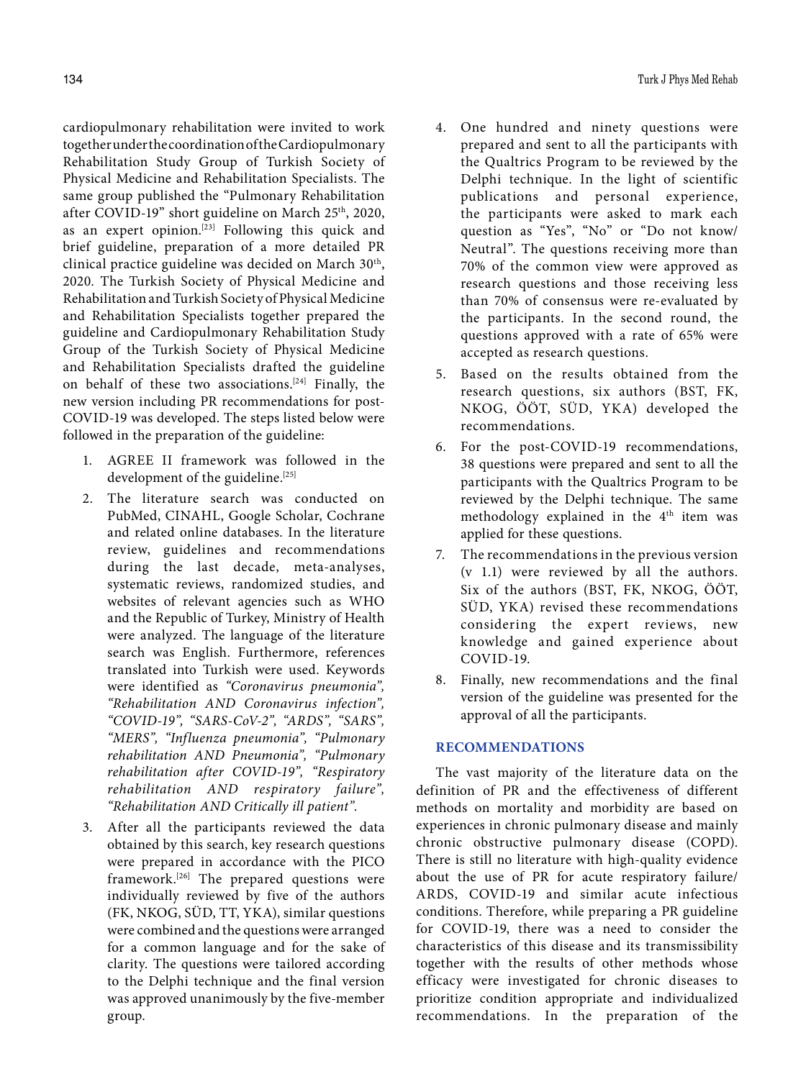cardiopulmonary rehabilitation were invited to work together under the coordination of the Cardiopulmonary Rehabilitation Study Group of Turkish Society of Physical Medicine and Rehabilitation Specialists. The same group published the "Pulmonary Rehabilitation after COVID-19" short guideline on March 25<sup>th</sup>, 2020, as an expert opinion.<sup>[23]</sup> Following this quick and brief guideline, preparation of a more detailed PR clinical practice guideline was decided on March 30<sup>th</sup>, 2020. The Turkish Society of Physical Medicine and Rehabilitation and Turkish Society of Physical Medicine and Rehabilitation Specialists together prepared the guideline and Cardiopulmonary Rehabilitation Study Group of the Turkish Society of Physical Medicine and Rehabilitation Specialists drafted the guideline on behalf of these two associations.[24] Finally, the new version including PR recommendations for post-COVID-19 was developed. The steps listed below were followed in the preparation of the guideline:

- 1. AGREE II framework was followed in the development of the guideline.<sup>[25]</sup>
- 2. The literature search was conducted on PubMed, CINAHL, Google Scholar, Cochrane and related online databases. In the literature review, guidelines and recommendations during the last decade, meta-analyses, systematic reviews, randomized studies, and websites of relevant agencies such as WHO and the Republic of Turkey, Ministry of Health were analyzed. The language of the literature search was English. Furthermore, references translated into Turkish were used. Keywords were identified as *"Coronavirus pneumonia", "Rehabilitation AND Coronavirus infection", "COVID-19", "SARS-CoV-2", "ARDS", "SARS", "MERS", "Influenza pneumonia", "Pulmonary rehabilitation AND Pneumonia", "Pulmonary rehabilitation after COVID-19", "Respiratory rehabilitation AND respiratory failure", "Rehabilitation AND Critically ill patient"*.
- 3. After all the participants reviewed the data obtained by this search, key research questions were prepared in accordance with the PICO framework.[26] The prepared questions were individually reviewed by five of the authors (FK, NKOG, SÜD, TT, YKA), similar questions were combined and the questions were arranged for a common language and for the sake of clarity. The questions were tailored according to the Delphi technique and the final version was approved unanimously by the five-member group.
- 4. One hundred and ninety questions were prepared and sent to all the participants with the Qualtrics Program to be reviewed by the Delphi technique. In the light of scientific publications and personal experience, the participants were asked to mark each question as "Yes", "No" or "Do not know/ Neutral". The questions receiving more than 70% of the common view were approved as research questions and those receiving less than 70% of consensus were re-evaluated by the participants. In the second round, the questions approved with a rate of 65% were accepted as research questions.
- 5. Based on the results obtained from the research questions, six authors (BST, FK, NKOG, ÖÖT, SÜD, YKA) developed the recommendations.
- 6. For the post-COVID-19 recommendations, 38 questions were prepared and sent to all the participants with the Qualtrics Program to be reviewed by the Delphi technique. The same methodology explained in the 4<sup>th</sup> item was applied for these questions.
- 7. The recommendations in the previous version (v 1.1) were reviewed by all the authors. Six of the authors (BST, FK, NKOG, ÖÖT, SÜD, YKA) revised these recommendations considering the expert reviews, new knowledge and gained experience about COVID-19.
- 8. Finally, new recommendations and the final version of the guideline was presented for the approval of all the participants.

### **RECOMMENDATIONS**

The vast majority of the literature data on the definition of PR and the effectiveness of different methods on mortality and morbidity are based on experiences in chronic pulmonary disease and mainly chronic obstructive pulmonary disease (COPD). There is still no literature with high-quality evidence about the use of PR for acute respiratory failure/ ARDS, COVID-19 and similar acute infectious conditions. Therefore, while preparing a PR guideline for COVID-19, there was a need to consider the characteristics of this disease and its transmissibility together with the results of other methods whose efficacy were investigated for chronic diseases to prioritize condition appropriate and individualized recommendations. In the preparation of the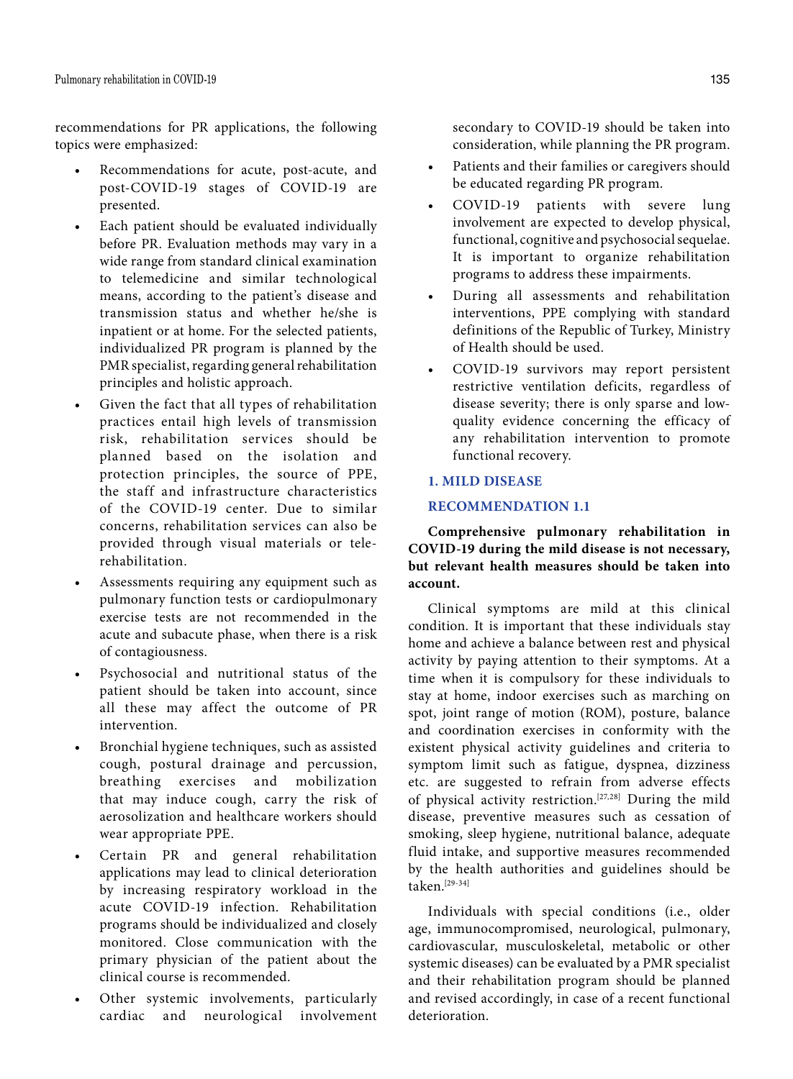recommendations for PR applications, the following topics were emphasized:

- Recommendations for acute, post-acute, and post-COVID-19 stages of COVID-19 are presented.
- Each patient should be evaluated individually before PR. Evaluation methods may vary in a wide range from standard clinical examination to telemedicine and similar technological means, according to the patient's disease and transmission status and whether he/she is inpatient or at home. For the selected patients, individualized PR program is planned by the PMR specialist, regarding general rehabilitation principles and holistic approach.
- Given the fact that all types of rehabilitation practices entail high levels of transmission risk, rehabilitation services should be planned based on the isolation and protection principles, the source of PPE, the staff and infrastructure characteristics of the COVID-19 center. Due to similar concerns, rehabilitation services can also be provided through visual materials or telerehabilitation.
- Assessments requiring any equipment such as pulmonary function tests or cardiopulmonary exercise tests are not recommended in the acute and subacute phase, when there is a risk of contagiousness.
- Psychosocial and nutritional status of the patient should be taken into account, since all these may affect the outcome of PR intervention.
- Bronchial hygiene techniques, such as assisted cough, postural drainage and percussion, breathing exercises and mobilization that may induce cough, carry the risk of aerosolization and healthcare workers should wear appropriate PPE.
- Certain PR and general rehabilitation applications may lead to clinical deterioration by increasing respiratory workload in the acute COVID-19 infection. Rehabilitation programs should be individualized and closely monitored. Close communication with the primary physician of the patient about the clinical course is recommended.
- Other systemic involvements, particularly cardiac and neurological involvement

secondary to COVID-19 should be taken into consideration, while planning the PR program.

- • Patients and their families or caregivers should be educated regarding PR program.
- COVID-19 patients with severe lung involvement are expected to develop physical, functional, cognitive and psychosocial sequelae. It is important to organize rehabilitation programs to address these impairments.
- • During all assessments and rehabilitation interventions, PPE complying with standard definitions of the Republic of Turkey, Ministry of Health should be used.
- • COVID-19 survivors may report persistent restrictive ventilation deficits, regardless of disease severity; there is only sparse and lowquality evidence concerning the efficacy of any rehabilitation intervention to promote functional recovery.

# **1. MILD DISEASE**

### **RECOMMENDATION 1.1**

**Comprehensive pulmonary rehabilitation in COVID-19 during the mild disease is not necessary, but relevant health measures should be taken into account.**

Clinical symptoms are mild at this clinical condition. It is important that these individuals stay home and achieve a balance between rest and physical activity by paying attention to their symptoms. At a time when it is compulsory for these individuals to stay at home, indoor exercises such as marching on spot, joint range of motion (ROM), posture, balance and coordination exercises in conformity with the existent physical activity guidelines and criteria to symptom limit such as fatigue, dyspnea, dizziness etc. are suggested to refrain from adverse effects of physical activity restriction.[27,28] During the mild disease, preventive measures such as cessation of smoking, sleep hygiene, nutritional balance, adequate fluid intake, and supportive measures recommended by the health authorities and guidelines should be taken.[29-34]

Individuals with special conditions (i.e., older age, immunocompromised, neurological, pulmonary, cardiovascular, musculoskeletal, metabolic or other systemic diseases) can be evaluated by a PMR specialist and their rehabilitation program should be planned and revised accordingly, in case of a recent functional deterioration.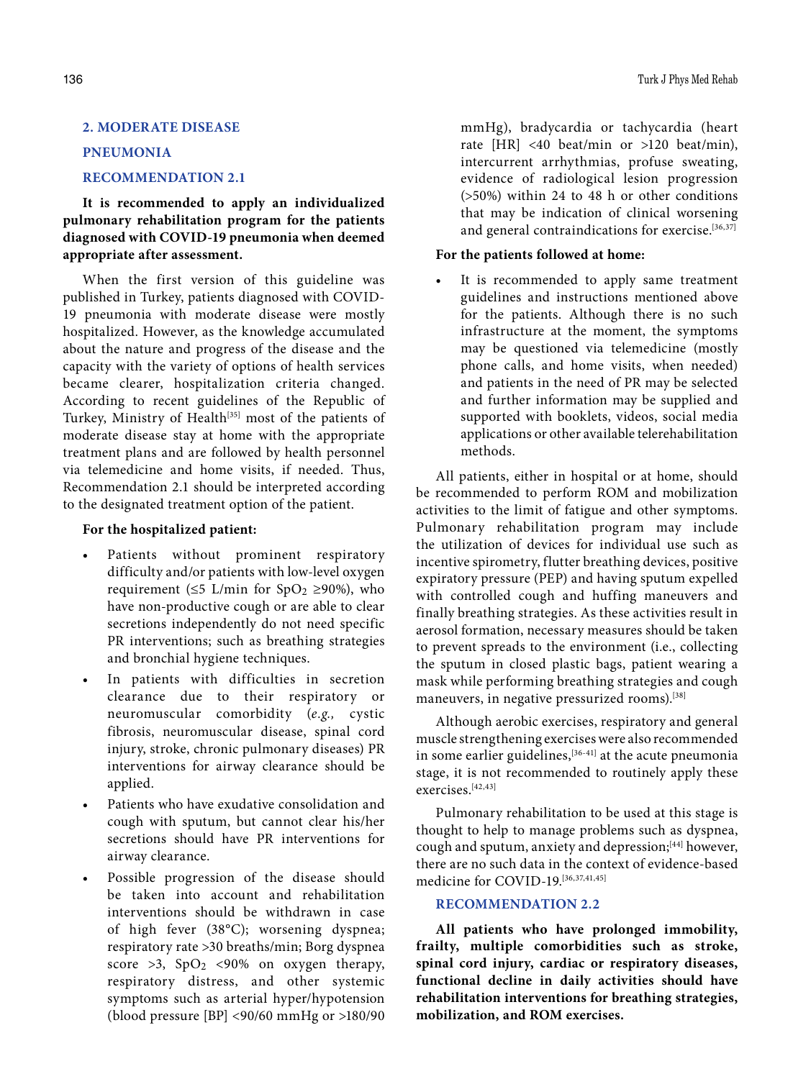# **2. MODERATE DISEASE**

### **PNEUMONIA**

# **RECOMMENDATION 2.1**

**It is recommended to apply an individualized pulmonary rehabilitation program for the patients diagnosed with COVID-19 pneumonia when deemed appropriate after assessment.**

When the first version of this guideline was published in Turkey, patients diagnosed with COVID-19 pneumonia with moderate disease were mostly hospitalized. However, as the knowledge accumulated about the nature and progress of the disease and the capacity with the variety of options of health services became clearer, hospitalization criteria changed. According to recent guidelines of the Republic of Turkey, Ministry of Health<sup>[35]</sup> most of the patients of moderate disease stay at home with the appropriate treatment plans and are followed by health personnel via telemedicine and home visits, if needed. Thus, Recommendation 2.1 should be interpreted according to the designated treatment option of the patient.

### **For the hospitalized patient:**

- Patients without prominent respiratory difficulty and/or patients with low-level oxygen requirement ( $\leq$ 5 L/min for SpO<sub>2</sub>  $\geq$ 90%), who have non-productive cough or are able to clear secretions independently do not need specific PR interventions; such as breathing strategies and bronchial hygiene techniques.
- In patients with difficulties in secretion clearance due to their respiratory or neuromuscular comorbidity (*e.g.,* cystic fibrosis, neuromuscular disease, spinal cord injury, stroke, chronic pulmonary diseases) PR interventions for airway clearance should be applied.
- Patients who have exudative consolidation and cough with sputum, but cannot clear his/her secretions should have PR interventions for airway clearance.
- Possible progression of the disease should be taken into account and rehabilitation interventions should be withdrawn in case of high fever (38°C); worsening dyspnea; respiratory rate >30 breaths/min; Borg dyspnea score  $>3$ , SpO<sub>2</sub> <90% on oxygen therapy, respiratory distress, and other systemic symptoms such as arterial hyper/hypotension (blood pressure [BP] <90/60 mmHg or >180/90

mmHg), bradycardia or tachycardia (heart rate [HR] <40 beat/min or >120 beat/min), intercurrent arrhythmias, profuse sweating, evidence of radiological lesion progression (>50%) within 24 to 48 h or other conditions that may be indication of clinical worsening and general contraindications for exercise.<sup>[36,37]</sup>

### **For the patients followed at home:**

• It is recommended to apply same treatment guidelines and instructions mentioned above for the patients. Although there is no such infrastructure at the moment, the symptoms may be questioned via telemedicine (mostly phone calls, and home visits, when needed) and patients in the need of PR may be selected and further information may be supplied and supported with booklets, videos, social media applications or other available telerehabilitation methods.

All patients, either in hospital or at home, should be recommended to perform ROM and mobilization activities to the limit of fatigue and other symptoms. Pulmonary rehabilitation program may include the utilization of devices for individual use such as incentive spirometry, flutter breathing devices, positive expiratory pressure (PEP) and having sputum expelled with controlled cough and huffing maneuvers and finally breathing strategies. As these activities result in aerosol formation, necessary measures should be taken to prevent spreads to the environment (i.e., collecting the sputum in closed plastic bags, patient wearing a mask while performing breathing strategies and cough maneuvers, in negative pressurized rooms).<sup>[38]</sup>

Although aerobic exercises, respiratory and general muscle strengthening exercises were also recommended in some earlier guidelines,<sup>[36-41]</sup> at the acute pneumonia stage, it is not recommended to routinely apply these exercises.[42,43]

Pulmonary rehabilitation to be used at this stage is thought to help to manage problems such as dyspnea, cough and sputum, anxiety and depression;[44] however, there are no such data in the context of evidence-based medicine for COVID-19.<sup>[36,37,41,45]</sup>

# **RECOMMENDATION 2.2**

**All patients who have prolonged immobility, frailty, multiple comorbidities such as stroke, spinal cord injury, cardiac or respiratory diseases, functional decline in daily activities should have rehabilitation interventions for breathing strategies, mobilization, and ROM exercises.**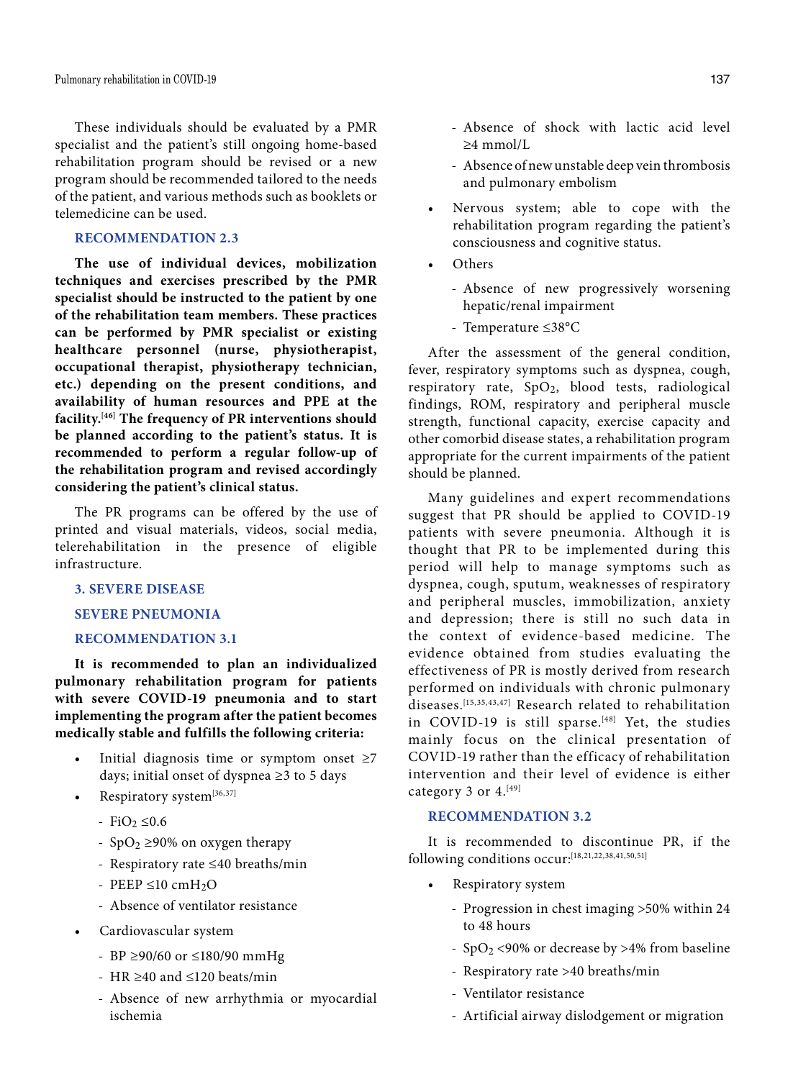Pulmonary rehabilitation in COVID-19 137

These individuals should be evaluated by a PMR specialist and the patient's still ongoing home-based rehabilitation program should be revised or a new program should be recommended tailored to the needs of the patient, and various methods such as booklets or telemedicine can be used.

# **RECOMMENDATION 2.3**

**The use of individual devices, mobilization techniques and exercises prescribed by the PMR specialist should be instructed to the patient by one of the rehabilitation team members. These practices can be performed by PMR specialist or existing healthcare personnel (nurse, physiotherapist, occupational therapist, physiotherapy technician, etc.) depending on the present conditions, and availability of human resources and PPE at the facility.[46] The frequency of PR interventions should be planned according to the patient's status. It is recommended to perform a regular follow-up of the rehabilitation program and revised accordingly considering the patient's clinical status.**

The PR programs can be offered by the use of printed and visual materials, videos, social media, telerehabilitation in the presence of eligible infrastructure.

# **3. SEVERE DISEASE**

### **SEVERE PNEUMONIA**

### **RECOMMENDATION 3.1**

**It is recommended to plan an individualized pulmonary rehabilitation program for patients with severe COVID-19 pneumonia and to start implementing the program after the patient becomes medically stable and fulfills the following criteria:**

- Initial diagnosis time or symptom onset  $\geq 7$ days; initial onset of dyspnea ≥3 to 5 days
- Respiratory system $^{[36,37]}$ 
	- $-FiO<sub>2</sub> ≤0.6$
	- SpO<sub>2</sub>  $\geq$ 90% on oxygen therapy
	- Respiratory rate ≤40 breaths/min
	- PEEP  $\leq 10$  cmH<sub>2</sub>O
	- Absence of ventilator resistance
- • Cardiovascular system
	- BP ≥90/60 or ≤180/90 mmHg
	- HR ≥40 and ≤120 beats/min
	- Absence of new arrhythmia or myocardial ischemia
- Absence of shock with lactic acid level ≥4 mmol/L
- Absence of new unstable deep vein thrombosis and pulmonary embolism
- • Nervous system; able to cope with the rehabilitation program regarding the patient's consciousness and cognitive status.
- Others
	- Absence of new progressively worsening hepatic/renal impairment
	- Temperature ≤38°C

After the assessment of the general condition, fever, respiratory symptoms such as dyspnea, cough, respiratory rate,  $SpO<sub>2</sub>$ , blood tests, radiological findings, ROM, respiratory and peripheral muscle strength, functional capacity, exercise capacity and other comorbid disease states, a rehabilitation program appropriate for the current impairments of the patient should be planned.

Many guidelines and expert recommendations suggest that PR should be applied to COVID-19 patients with severe pneumonia. Although it is thought that PR to be implemented during this period will help to manage symptoms such as dyspnea, cough, sputum, weaknesses of respiratory and peripheral muscles, immobilization, anxiety and depression; there is still no such data in the context of evidence-based medicine. The evidence obtained from studies evaluating the effectiveness of PR is mostly derived from research performed on individuals with chronic pulmonary diseases.[15,35,43,47] Research related to rehabilitation in COVID-19 is still sparse.<sup>[48]</sup> Yet, the studies mainly focus on the clinical presentation of COVID-19 rather than the efficacy of rehabilitation intervention and their level of evidence is either category 3 or  $4.^{[49]}$ 

### **RECOMMENDATION 3.2**

It is recommended to discontinue PR, if the following conditions occur:[18,21,22,38,41,50,51]

- Respiratory system
	- Progression in chest imaging >50% within 24 to 48 hours
	- $SpO<sub>2</sub>$  <90% or decrease by >4% from baseline
	- Respiratory rate >40 breaths/min
	- Ventilator resistance
	- Artificial airway dislodgement or migration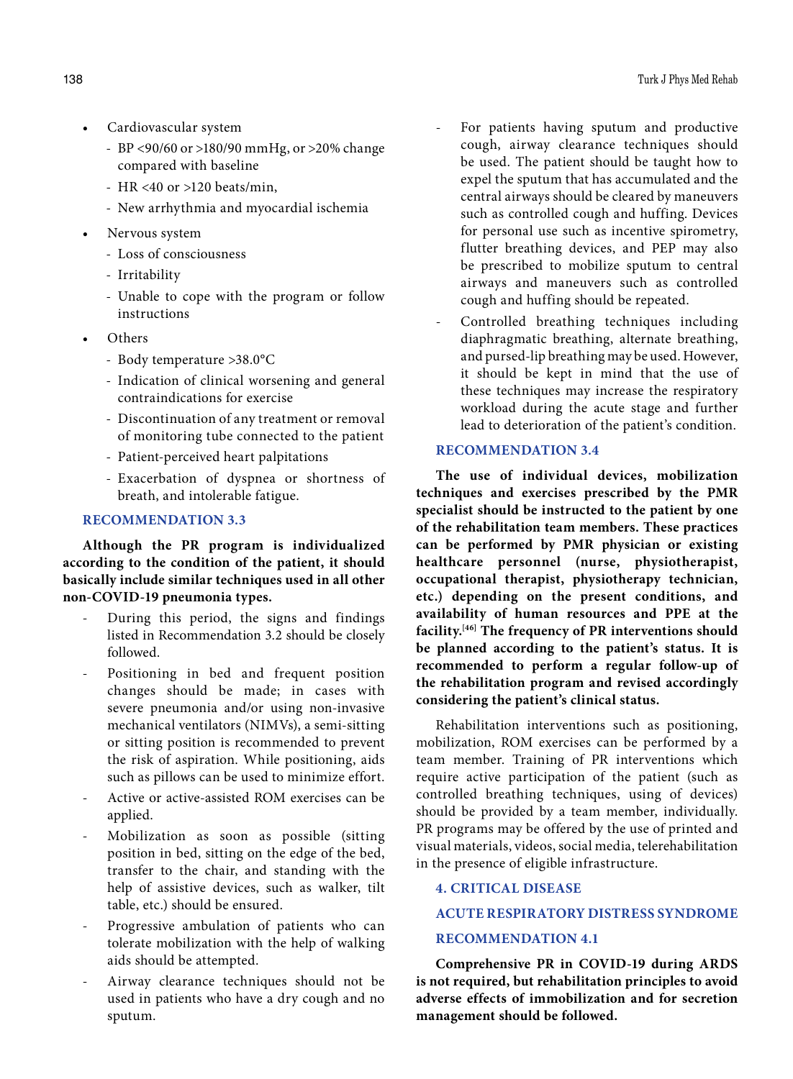- Cardiovascular system
	- BP <90/60 or >180/90 mmHg, or >20% change compared with baseline
	- HR <40 or >120 beats/min,
	- New arrhythmia and myocardial ischemia
- Nervous system
	- Loss of consciousness
	- Irritability
	- Unable to cope with the program or follow instructions
- • Others
	- Body temperature >38.0°C
	- Indication of clinical worsening and general contraindications for exercise
	- Discontinuation of any treatment or removal of monitoring tube connected to the patient
	- Patient-perceived heart palpitations
	- Exacerbation of dyspnea or shortness of breath, and intolerable fatigue.

# **RECOMMENDATION 3.3**

**Although the PR program is individualized according to the condition of the patient, it should basically include similar techniques used in all other non-COVID-19 pneumonia types.**

- During this period, the signs and findings listed in Recommendation 3.2 should be closely followed.
- Positioning in bed and frequent position changes should be made; in cases with severe pneumonia and/or using non-invasive mechanical ventilators (NIMVs), a semi-sitting or sitting position is recommended to prevent the risk of aspiration. While positioning, aids such as pillows can be used to minimize effort.
- Active or active-assisted ROM exercises can be applied.
- Mobilization as soon as possible (sitting position in bed, sitting on the edge of the bed, transfer to the chair, and standing with the help of assistive devices, such as walker, tilt table, etc.) should be ensured.
- Progressive ambulation of patients who can tolerate mobilization with the help of walking aids should be attempted.
- Airway clearance techniques should not be used in patients who have a dry cough and no sputum.
- For patients having sputum and productive cough, airway clearance techniques should be used. The patient should be taught how to expel the sputum that has accumulated and the central airways should be cleared by maneuvers such as controlled cough and huffing. Devices for personal use such as incentive spirometry, flutter breathing devices, and PEP may also be prescribed to mobilize sputum to central airways and maneuvers such as controlled cough and huffing should be repeated.
- Controlled breathing techniques including diaphragmatic breathing, alternate breathing, and pursed-lip breathing may be used. However, it should be kept in mind that the use of these techniques may increase the respiratory workload during the acute stage and further lead to deterioration of the patient's condition.

# **RECOMMENDATION 3.4**

**The use of individual devices, mobilization techniques and exercises prescribed by the PMR specialist should be instructed to the patient by one of the rehabilitation team members. These practices can be performed by PMR physician or existing healthcare personnel (nurse, physiotherapist, occupational therapist, physiotherapy technician, etc.) depending on the present conditions, and availability of human resources and PPE at the facility.[46] The frequency of PR interventions should be planned according to the patient's status. It is recommended to perform a regular follow-up of the rehabilitation program and revised accordingly considering the patient's clinical status.**

Rehabilitation interventions such as positioning, mobilization, ROM exercises can be performed by a team member. Training of PR interventions which require active participation of the patient (such as controlled breathing techniques, using of devices) should be provided by a team member, individually. PR programs may be offered by the use of printed and visual materials, videos, social media, telerehabilitation in the presence of eligible infrastructure.

# **4. CRITICAL DISEASE**

# **ACUTE RESPIRATORY DISTRESS SYNDROME**

# **RECOMMENDATION 4.1**

**Comprehensive PR in COVID-19 during ARDS is not required, but rehabilitation principles to avoid adverse effects of immobilization and for secretion management should be followed.**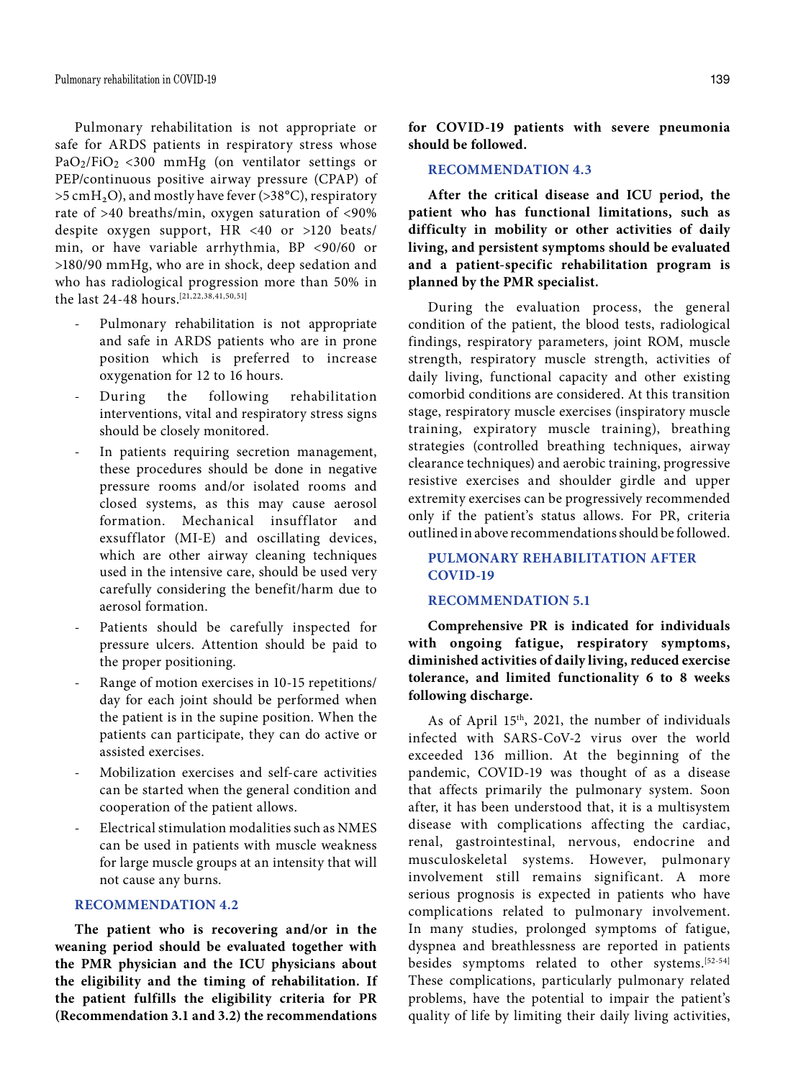Pulmonary rehabilitation is not appropriate or safe for ARDS patients in respiratory stress whose  $PaO<sub>2</sub>/FiO<sub>2</sub> < 300 mmHg$  (on ventilator settings or PEP/continuous positive airway pressure (CPAP) of  $>5$  cmH<sub>2</sub>O), and mostly have fever ( $>38^{\circ}$ C), respiratory rate of >40 breaths/min, oxygen saturation of <90% despite oxygen support, HR <40 or >120 beats/ min, or have variable arrhythmia, BP <90/60 or >180/90 mmHg, who are in shock, deep sedation and who has radiological progression more than 50% in the last 24-48 hours.[21,22,38,41,50,51]

- Pulmonary rehabilitation is not appropriate and safe in ARDS patients who are in prone position which is preferred to increase oxygenation for 12 to 16 hours.
- During the following rehabilitation interventions, vital and respiratory stress signs should be closely monitored.
- In patients requiring secretion management, these procedures should be done in negative pressure rooms and/or isolated rooms and closed systems, as this may cause aerosol formation. Mechanical insufflator and exsufflator (MI-E) and oscillating devices, which are other airway cleaning techniques used in the intensive care, should be used very carefully considering the benefit/harm due to aerosol formation.
- Patients should be carefully inspected for pressure ulcers. Attention should be paid to the proper positioning.
- Range of motion exercises in 10-15 repetitions/ day for each joint should be performed when the patient is in the supine position. When the patients can participate, they can do active or assisted exercises.
- Mobilization exercises and self-care activities can be started when the general condition and cooperation of the patient allows.
- Electrical stimulation modalities such as NMES can be used in patients with muscle weakness for large muscle groups at an intensity that will not cause any burns.

# **RECOMMENDATION 4.2**

**The patient who is recovering and/or in the weaning period should be evaluated together with the PMR physician and the ICU physicians about the eligibility and the timing of rehabilitation. If the patient fulfills the eligibility criteria for PR (Recommendation 3.1 and 3.2) the recommendations** 

**for COVID-19 patients with severe pneumonia should be followed.**

# **RECOMMENDATION 4.3**

**After the critical disease and ICU period, the patient who has functional limitations, such as difficulty in mobility or other activities of daily living, and persistent symptoms should be evaluated and a patient-specific rehabilitation program is planned by the PMR specialist.**

During the evaluation process, the general condition of the patient, the blood tests, radiological findings, respiratory parameters, joint ROM, muscle strength, respiratory muscle strength, activities of daily living, functional capacity and other existing comorbid conditions are considered. At this transition stage, respiratory muscle exercises (inspiratory muscle training, expiratory muscle training), breathing strategies (controlled breathing techniques, airway clearance techniques) and aerobic training, progressive resistive exercises and shoulder girdle and upper extremity exercises can be progressively recommended only if the patient's status allows. For PR, criteria outlined in above recommendations should be followed.

# **PULMONARY REHABILITATION AFTER COVID-19**

# **RECOMMENDATION 5.1**

**Comprehensive PR is indicated for individuals with ongoing fatigue, respiratory symptoms, diminished activities of daily living, reduced exercise tolerance, and limited functionality 6 to 8 weeks following discharge.**

As of April 15th, 2021, the number of individuals infected with SARS-CoV-2 virus over the world exceeded 136 million. At the beginning of the pandemic, COVID-19 was thought of as a disease that affects primarily the pulmonary system. Soon after, it has been understood that, it is a multisystem disease with complications affecting the cardiac, renal, gastrointestinal, nervous, endocrine and musculoskeletal systems. However, pulmonary involvement still remains significant. A more serious prognosis is expected in patients who have complications related to pulmonary involvement. In many studies, prolonged symptoms of fatigue, dyspnea and breathlessness are reported in patients besides symptoms related to other systems.[52-54] These complications, particularly pulmonary related problems, have the potential to impair the patient's quality of life by limiting their daily living activities,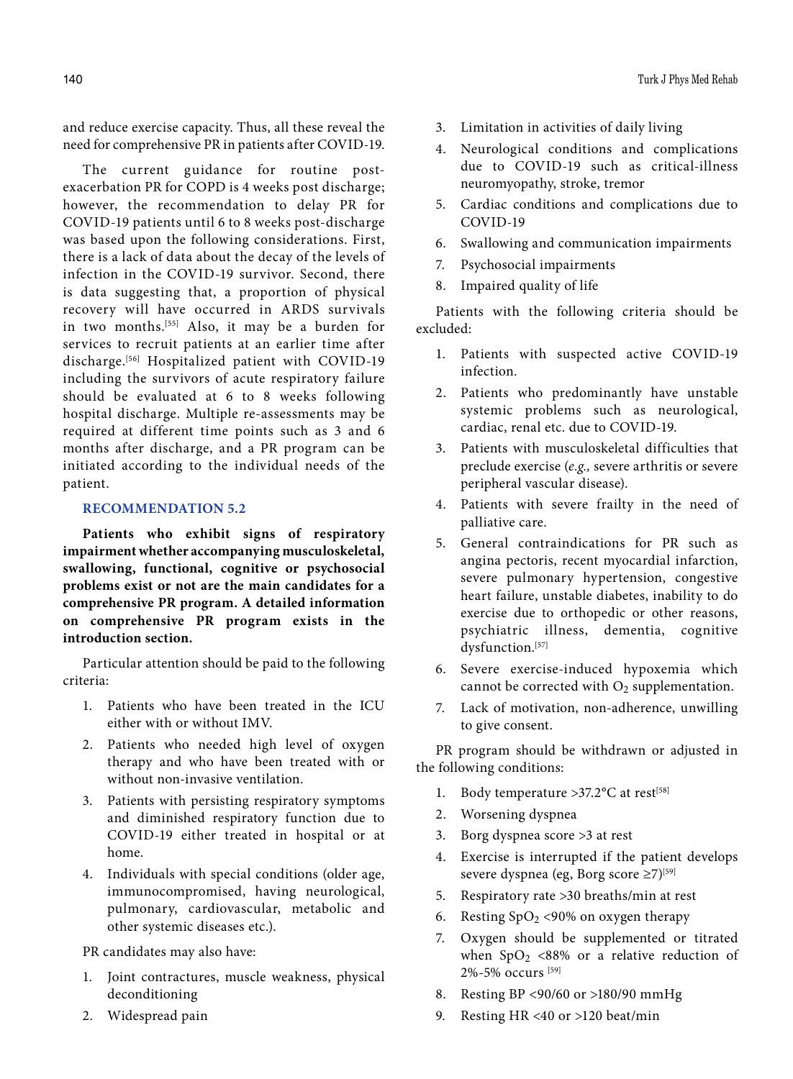and reduce exercise capacity. Thus, all these reveal the need for comprehensive PR in patients after COVID-19.

The current guidance for routine postexacerbation PR for COPD is 4 weeks post discharge; however, the recommendation to delay PR for COVID-19 patients until 6 to 8 weeks post-discharge was based upon the following considerations. First, there is a lack of data about the decay of the levels of infection in the COVID-19 survivor. Second, there is data suggesting that, a proportion of physical recovery will have occurred in ARDS survivals in two months.[55] Also, it may be a burden for services to recruit patients at an earlier time after discharge.[56] Hospitalized patient with COVID-19 including the survivors of acute respiratory failure should be evaluated at 6 to 8 weeks following hospital discharge. Multiple re-assessments may be required at different time points such as 3 and 6 months after discharge, and a PR program can be initiated according to the individual needs of the patient.

# **RECOMMENDATION 5.2**

**Patients who exhibit signs of respiratory impairment whether accompanying musculoskeletal, swallowing, functional, cognitive or psychosocial problems exist or not are the main candidates for a comprehensive PR program. A detailed information on comprehensive PR program exists in the introduction section.**

Particular attention should be paid to the following criteria:

- 1. Patients who have been treated in the ICU either with or without IMV.
- 2. Patients who needed high level of oxygen therapy and who have been treated with or without non-invasive ventilation.
- 3. Patients with persisting respiratory symptoms and diminished respiratory function due to COVID-19 either treated in hospital or at home.
- 4. Individuals with special conditions (older age, immunocompromised, having neurological, pulmonary, cardiovascular, metabolic and other systemic diseases etc.).

PR candidates may also have:

- 1. Joint contractures, muscle weakness, physical deconditioning
- 2. Widespread pain
- 3. Limitation in activities of daily living
- 4. Neurological conditions and complications due to COVID-19 such as critical-illness neuromyopathy, stroke, tremor
- 5. Cardiac conditions and complications due to COVID-19
- 6. Swallowing and communication impairments
- 7. Psychosocial impairments
- 8. Impaired quality of life

Patients with the following criteria should be excluded:

- 1. Patients with suspected active COVID-19 infection.
- 2. Patients who predominantly have unstable systemic problems such as neurological, cardiac, renal etc. due to COVID-19.
- 3. Patients with musculoskeletal difficulties that preclude exercise (*e.g.,* severe arthritis or severe peripheral vascular disease).
- 4. Patients with severe frailty in the need of palliative care.
- 5. General contraindications for PR such as angina pectoris, recent myocardial infarction, severe pulmonary hypertension, congestive heart failure, unstable diabetes, inability to do exercise due to orthopedic or other reasons, psychiatric illness, dementia, cognitive dysfunction.[57]
- 6. Severe exercise-induced hypoxemia which cannot be corrected with  $O_2$  supplementation.
- 7. Lack of motivation, non-adherence, unwilling to give consent.

PR program should be withdrawn or adjusted in the following conditions:

- 1. Body temperature  $>37.2$ °C at rest<sup>[58]</sup>
- 2. Worsening dyspnea
- 3. Borg dyspnea score >3 at rest
- 4. Exercise is interrupted if the patient develops severe dyspnea (eg, Borg score ≥7)[59]
- 5. Respiratory rate >30 breaths/min at rest
- 6. Resting  $SpO<sub>2</sub> < 90%$  on oxygen therapy
- 7. Oxygen should be supplemented or titrated when  $SpO<sub>2</sub> < 88%$  or a relative reduction of 2%-5% occurs [59]
- 8. Resting BP <90/60 or >180/90 mmHg
- 9. Resting HR <40 or >120 beat/min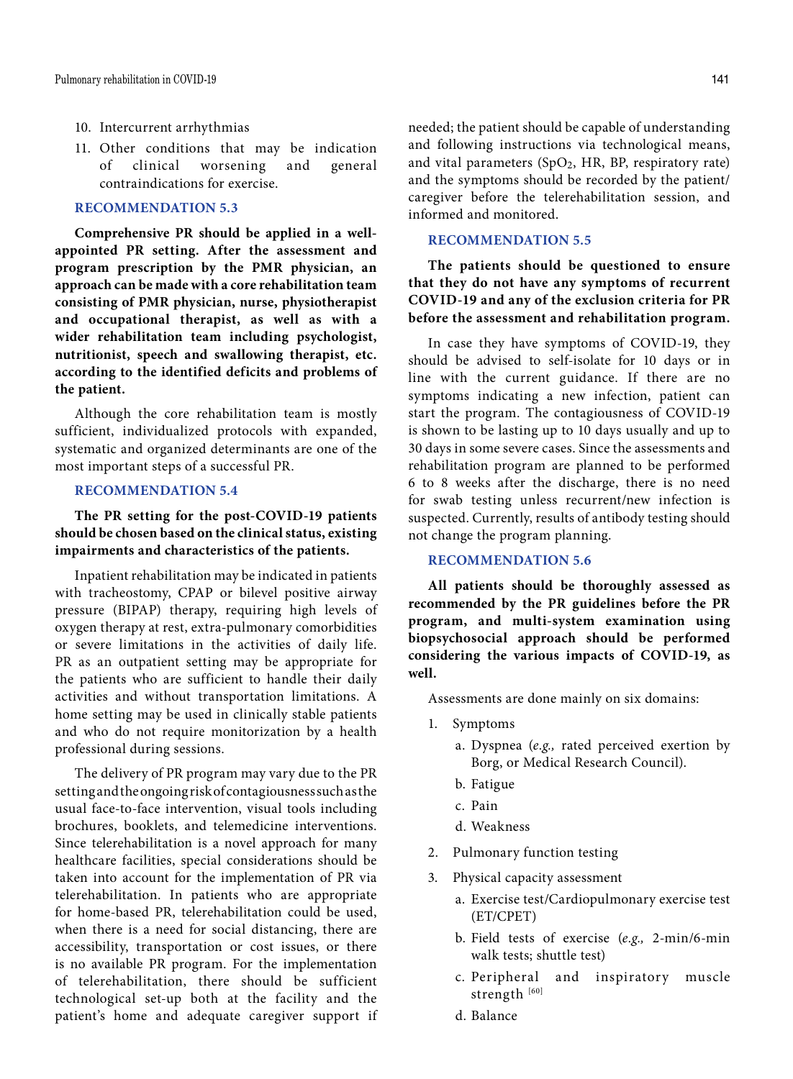- 10. Intercurrent arrhythmias
- 11. Other conditions that may be indication of clinical worsening and general contraindications for exercise.

### **RECOMMENDATION 5.3**

**Comprehensive PR should be applied in a wellappointed PR setting. After the assessment and program prescription by the PMR physician, an approach can be made with a core rehabilitation team consisting of PMR physician, nurse, physiotherapist and occupational therapist, as well as with a wider rehabilitation team including psychologist, nutritionist, speech and swallowing therapist, etc. according to the identified deficits and problems of the patient.**

Although the core rehabilitation team is mostly sufficient, individualized protocols with expanded, systematic and organized determinants are one of the most important steps of a successful PR.

# **RECOMMENDATION 5.4**

# **The PR setting for the post-COVID-19 patients should be chosen based on the clinical status, existing impairments and characteristics of the patients.**

Inpatient rehabilitation may be indicated in patients with tracheostomy, CPAP or bilevel positive airway pressure (BIPAP) therapy, requiring high levels of oxygen therapy at rest, extra-pulmonary comorbidities or severe limitations in the activities of daily life. PR as an outpatient setting may be appropriate for the patients who are sufficient to handle their daily activities and without transportation limitations. A home setting may be used in clinically stable patients and who do not require monitorization by a health professional during sessions.

The delivery of PR program may vary due to the PR setting and the ongoing risk of contagiousness such as the usual face-to-face intervention, visual tools including brochures, booklets, and telemedicine interventions. Since telerehabilitation is a novel approach for many healthcare facilities, special considerations should be taken into account for the implementation of PR via telerehabilitation. In patients who are appropriate for home-based PR, telerehabilitation could be used, when there is a need for social distancing, there are accessibility, transportation or cost issues, or there is no available PR program. For the implementation of telerehabilitation, there should be sufficient technological set-up both at the facility and the patient's home and adequate caregiver support if

needed; the patient should be capable of understanding and following instructions via technological means, and vital parameters  $(SpO<sub>2</sub>, HR, BP, respiratory rate)$ and the symptoms should be recorded by the patient/ caregiver before the telerehabilitation session, and informed and monitored.

### **RECOMMENDATION 5.5**

**The patients should be questioned to ensure that they do not have any symptoms of recurrent COVID-19 and any of the exclusion criteria for PR before the assessment and rehabilitation program.**

In case they have symptoms of COVID-19, they should be advised to self-isolate for 10 days or in line with the current guidance. If there are no symptoms indicating a new infection, patient can start the program. The contagiousness of COVID-19 is shown to be lasting up to 10 days usually and up to 30 days in some severe cases. Since the assessments and rehabilitation program are planned to be performed 6 to 8 weeks after the discharge, there is no need for swab testing unless recurrent/new infection is suspected. Currently, results of antibody testing should not change the program planning.

### **RECOMMENDATION 5.6**

**All patients should be thoroughly assessed as recommended by the PR guidelines before the PR program, and multi-system examination using biopsychosocial approach should be performed considering the various impacts of COVID-19, as well.**

Assessments are done mainly on six domains:

- 1. Symptoms
	- a. Dyspnea (*e.g.,* rated perceived exertion by Borg, or Medical Research Council).
	- b. Fatigue
	- c. Pain
	- d. Weakness
- 2. Pulmonary function testing
- 3. Physical capacity assessment
	- a. Exercise test/Cardiopulmonary exercise test (ET/CPET)
	- b. Field tests of exercise (*e.g.,* 2-min/6-min walk tests; shuttle test)
	- c. Peripheral and inspiratory muscle strength [60]
	- d. Balance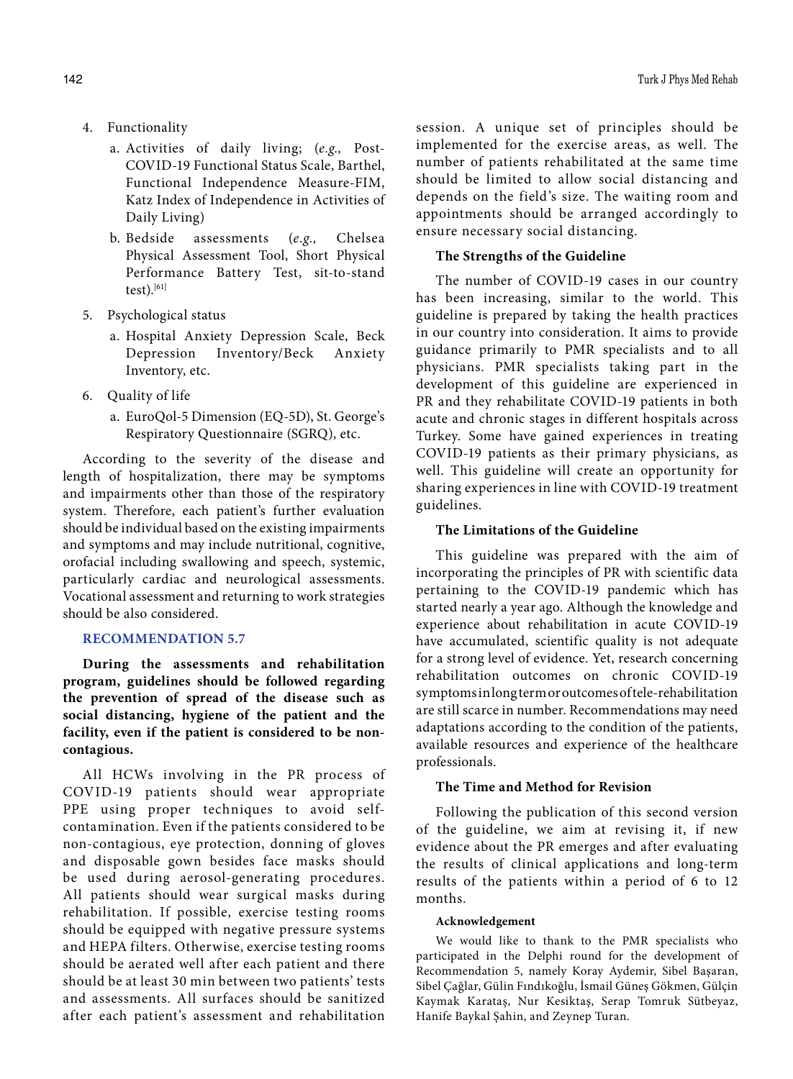- 4. Functionality
	- a. Activities of daily living; (*e.g.,* Post-COVID-19 Functional Status Scale, Barthel, Functional Independence Measure-FIM, Katz Index of Independence in Activities of Daily Living)
	- b. Bedside assessments (*e.g.,* Chelsea Physical Assessment Tool, Short Physical Performance Battery Test, sit-to-stand  $test)$ .[61]
- 5. Psychological status
	- a. Hospital Anxiety Depression Scale, Beck Depression Inventory/Beck Anxiety Inventory, etc.
- 6. Quality of life
	- a. EuroQol-5 Dimension (EQ-5D), St. George's Respiratory Questionnaire (SGRQ), etc.

According to the severity of the disease and length of hospitalization, there may be symptoms and impairments other than those of the respiratory system. Therefore, each patient's further evaluation should be individual based on the existing impairments and symptoms and may include nutritional, cognitive, orofacial including swallowing and speech, systemic, particularly cardiac and neurological assessments. Vocational assessment and returning to work strategies should be also considered.

### **RECOMMENDATION 5.7**

**During the assessments and rehabilitation program, guidelines should be followed regarding the prevention of spread of the disease such as social distancing, hygiene of the patient and the facility, even if the patient is considered to be noncontagious.**

All HCWs involving in the PR process of COVID-19 patients should wear appropriate PPE using proper techniques to avoid selfcontamination. Even if the patients considered to be non-contagious, eye protection, donning of gloves and disposable gown besides face masks should be used during aerosol-generating procedures. All patients should wear surgical masks during rehabilitation. If possible, exercise testing rooms should be equipped with negative pressure systems and HEPA filters. Otherwise, exercise testing rooms should be aerated well after each patient and there should be at least 30 min between two patients' tests and assessments. All surfaces should be sanitized after each patient's assessment and rehabilitation

session. A unique set of principles should be implemented for the exercise areas, as well. The number of patients rehabilitated at the same time should be limited to allow social distancing and depends on the field's size. The waiting room and appointments should be arranged accordingly to ensure necessary social distancing.

# **The Strengths of the Guideline**

The number of COVID-19 cases in our country has been increasing, similar to the world. This guideline is prepared by taking the health practices in our country into consideration. It aims to provide guidance primarily to PMR specialists and to all physicians. PMR specialists taking part in the development of this guideline are experienced in PR and they rehabilitate COVID-19 patients in both acute and chronic stages in different hospitals across Turkey. Some have gained experiences in treating COVID-19 patients as their primary physicians, as well. This guideline will create an opportunity for sharing experiences in line with COVID-19 treatment guidelines.

# **The Limitations of the Guideline**

This guideline was prepared with the aim of incorporating the principles of PR with scientific data pertaining to the COVID-19 pandemic which has started nearly a year ago. Although the knowledge and experience about rehabilitation in acute COVID-19 have accumulated, scientific quality is not adequate for a strong level of evidence. Yet, research concerning rehabilitation outcomes on chronic COVID-19 symptoms in long term or outcomes of tele-rehabilitation are still scarce in number. Recommendations may need adaptations according to the condition of the patients, available resources and experience of the healthcare professionals.

### **The Time and Method for Revision**

Following the publication of this second version of the guideline, we aim at revising it, if new evidence about the PR emerges and after evaluating the results of clinical applications and long-term results of the patients within a period of 6 to 12 months.

#### **Acknowledgement**

We would like to thank to the PMR specialists who participated in the Delphi round for the development of Recommendation 5, namely Koray Aydemir, Sibel Başaran, Sibel Çağlar, Gülin Fındıkoğlu, İsmail Güneş Gökmen, Gülçin Kaymak Karataş, Nur Kesiktaş, Serap Tomruk Sütbeyaz, Hanife Baykal Şahin, and Zeynep Turan.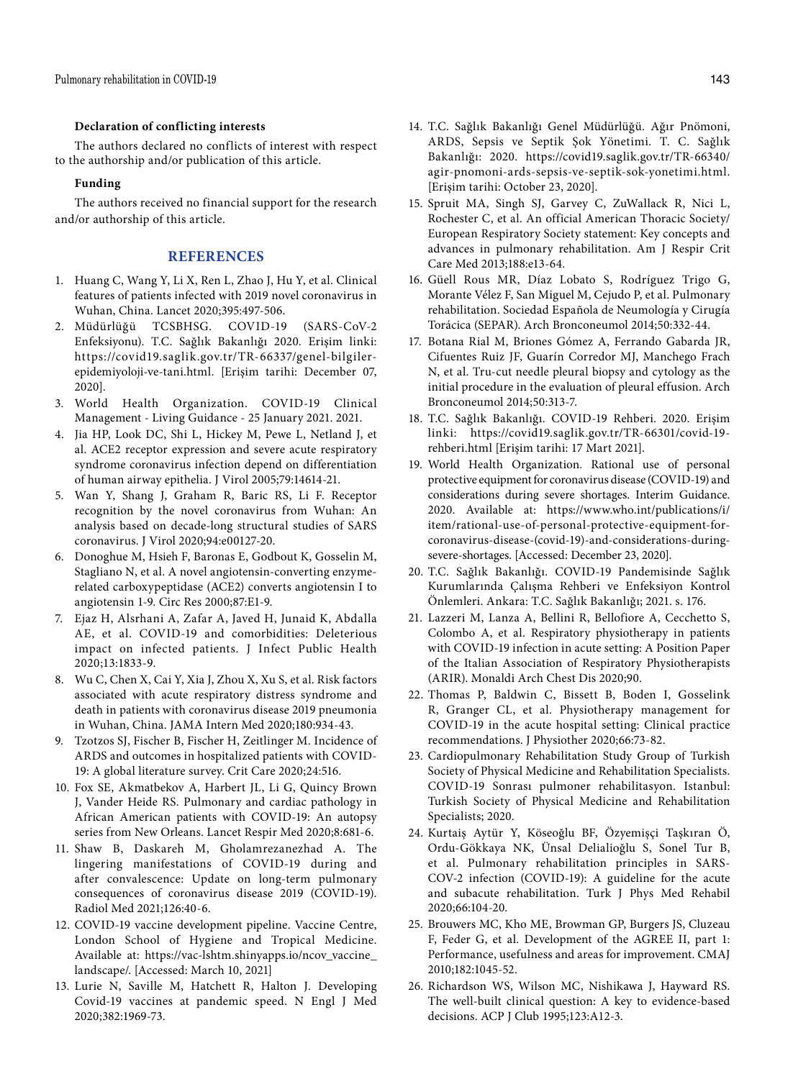### **Declaration of conflicting interests**

The authors declared no conflicts of interest with respect to the authorship and/or publication of this article.

### **Funding**

The authors received no financial support for the research and/or authorship of this article.

### **REFERENCES**

- 1. Huang C, Wang Y, Li X, Ren L, Zhao J, Hu Y, et al. Clinical features of patients infected with 2019 novel coronavirus in Wuhan, China. Lancet 2020;395:497-506.
- 2. Müdürlüğü TCSBHSG. COVID-19 (SARS-CoV-2 Enfeksiyonu). T.C. Sağlık Bakanlığı 2020. Erişim linki: https://covid19.saglik.gov.tr/TR-66337/genel-bilgilerepidemiyoloji-ve-tani.html. [Erişim tarihi: December 07, 2020].
- 3. World Health Organization. COVID-19 Clinical Management - Living Guidance - 25 January 2021. 2021.
- 4. Jia HP, Look DC, Shi L, Hickey M, Pewe L, Netland J, et al. ACE2 receptor expression and severe acute respiratory syndrome coronavirus infection depend on differentiation of human airway epithelia. J Virol 2005;79:14614-21.
- 5. Wan Y, Shang J, Graham R, Baric RS, Li F. Receptor recognition by the novel coronavirus from Wuhan: An analysis based on decade-long structural studies of SARS coronavirus. J Virol 2020;94:e00127-20.
- 6. Donoghue M, Hsieh F, Baronas E, Godbout K, Gosselin M, Stagliano N, et al. A novel angiotensin-converting enzymerelated carboxypeptidase (ACE2) converts angiotensin I to angiotensin 1-9. Circ Res 2000;87:E1-9.
- 7. Ejaz H, Alsrhani A, Zafar A, Javed H, Junaid K, Abdalla AE, et al. COVID-19 and comorbidities: Deleterious impact on infected patients. J Infect Public Health 2020;13:1833-9.
- 8. Wu C, Chen X, Cai Y, Xia J, Zhou X, Xu S, et al. Risk factors associated with acute respiratory distress syndrome and death in patients with coronavirus disease 2019 pneumonia in Wuhan, China. JAMA Intern Med 2020;180:934-43.
- 9. Tzotzos SJ, Fischer B, Fischer H, Zeitlinger M. Incidence of ARDS and outcomes in hospitalized patients with COVID-19: A global literature survey. Crit Care 2020;24:516.
- 10. Fox SE, Akmatbekov A, Harbert JL, Li G, Quincy Brown J, Vander Heide RS. Pulmonary and cardiac pathology in African American patients with COVID-19: An autopsy series from New Orleans. Lancet Respir Med 2020;8:681-6.
- 11. Shaw B, Daskareh M, Gholamrezanezhad A. The lingering manifestations of COVID-19 during and after convalescence: Update on long-term pulmonary consequences of coronavirus disease 2019 (COVID-19). Radiol Med 2021;126:40-6.
- 12. COVID-19 vaccine development pipeline. Vaccine Centre, London School of Hygiene and Tropical Medicine. Available at: https://vac-lshtm.shinyapps.io/ncov\_vaccine\_ landscape/. [Accessed: March 10, 2021]
- 13. Lurie N, Saville M, Hatchett R, Halton J. Developing Covid-19 vaccines at pandemic speed. N Engl J Med 2020;382:1969-73.
- 14. T.C. Sağlık Bakanlığı Genel Müdürlüğü. Ağır Pnömoni, ARDS, Sepsis ve Septik Şok Yönetimi. T. C. Sağlık Bakanlığı: 2020. https://covid19.saglik.gov.tr/TR-66340/ agir-pnomoni-ards-sepsis-ve-septik-sok-yonetimi.html. [Erişim tarihi: October 23, 2020].
- 15. Spruit MA, Singh SJ, Garvey C, ZuWallack R, Nici L, Rochester C, et al. An official American Thoracic Society/ European Respiratory Society statement: Key concepts and advances in pulmonary rehabilitation. Am J Respir Crit Care Med 2013;188:e13-64.
- 16. Güell Rous MR, Díaz Lobato S, Rodríguez Trigo G, Morante Vélez F, San Miguel M, Cejudo P, et al. Pulmonary rehabilitation. Sociedad Española de Neumología y Cirugía Torácica (SEPAR). Arch Bronconeumol 2014;50:332-44.
- 17. Botana Rial M, Briones Gómez A, Ferrando Gabarda JR, Cifuentes Ruiz JF, Guarín Corredor MJ, Manchego Frach N, et al. Tru-cut needle pleural biopsy and cytology as the initial procedure in the evaluation of pleural effusion. Arch Bronconeumol 2014;50:313-7.
- 18. T.C. Sağlık Bakanlığı. COVID-19 Rehberi. 2020. Erişim linki: https://covid19.saglik.gov.tr/TR-66301/covid-19 rehberi.html [Erişim tarihi: 17 Mart 2021].
- 19. World Health Organization. Rational use of personal protective equipment for coronavirus disease (COVID-19) and considerations during severe shortages. Interim Guidance. 2020. Available at: https://www.who.int/publications/i/ item/rational-use-of-personal-protective-equipment-forcoronavirus-disease-(covid-19)-and-considerations-duringsevere-shortages. [Accessed: December 23, 2020].
- 20. T.C. Sağlık Bakanlığı. COVID-19 Pandemisinde Sağlık Kurumlarında Çalışma Rehberi ve Enfeksiyon Kontrol Önlemleri. Ankara: T.C. Sağlık Bakanlığı; 2021. s. 176.
- 21. Lazzeri M, Lanza A, Bellini R, Bellofiore A, Cecchetto S, Colombo A, et al. Respiratory physiotherapy in patients with COVID-19 infection in acute setting: A Position Paper of the Italian Association of Respiratory Physiotherapists (ARIR). Monaldi Arch Chest Dis 2020;90.
- 22. Thomas P, Baldwin C, Bissett B, Boden I, Gosselink R, Granger CL, et al. Physiotherapy management for COVID-19 in the acute hospital setting: Clinical practice recommendations. J Physiother 2020;66:73-82.
- 23. Cardiopulmonary Rehabilitation Study Group of Turkish Society of Physical Medicine and Rehabilitation Specialists. COVID-19 Sonrası pulmoner rehabilitasyon. Istanbul: Turkish Society of Physical Medicine and Rehabilitation Specialists; 2020.
- 24. Kurtaiş Aytür Y, Köseoğlu BF, Özyemişçi Taşkıran Ö, Ordu-Gökkaya NK, Ünsal Delialioğlu S, Sonel Tur B, et al. Pulmonary rehabilitation principles in SARS-COV-2 infection (COVID-19): A guideline for the acute and subacute rehabilitation. Turk J Phys Med Rehabil 2020;66:104-20.
- 25. Brouwers MC, Kho ME, Browman GP, Burgers JS, Cluzeau F, Feder G, et al. Development of the AGREE II, part 1: Performance, usefulness and areas for improvement. CMAJ 2010;182:1045-52.
- 26. Richardson WS, Wilson MC, Nishikawa J, Hayward RS. The well-built clinical question: A key to evidence-based decisions. ACP J Club 1995;123:A12-3.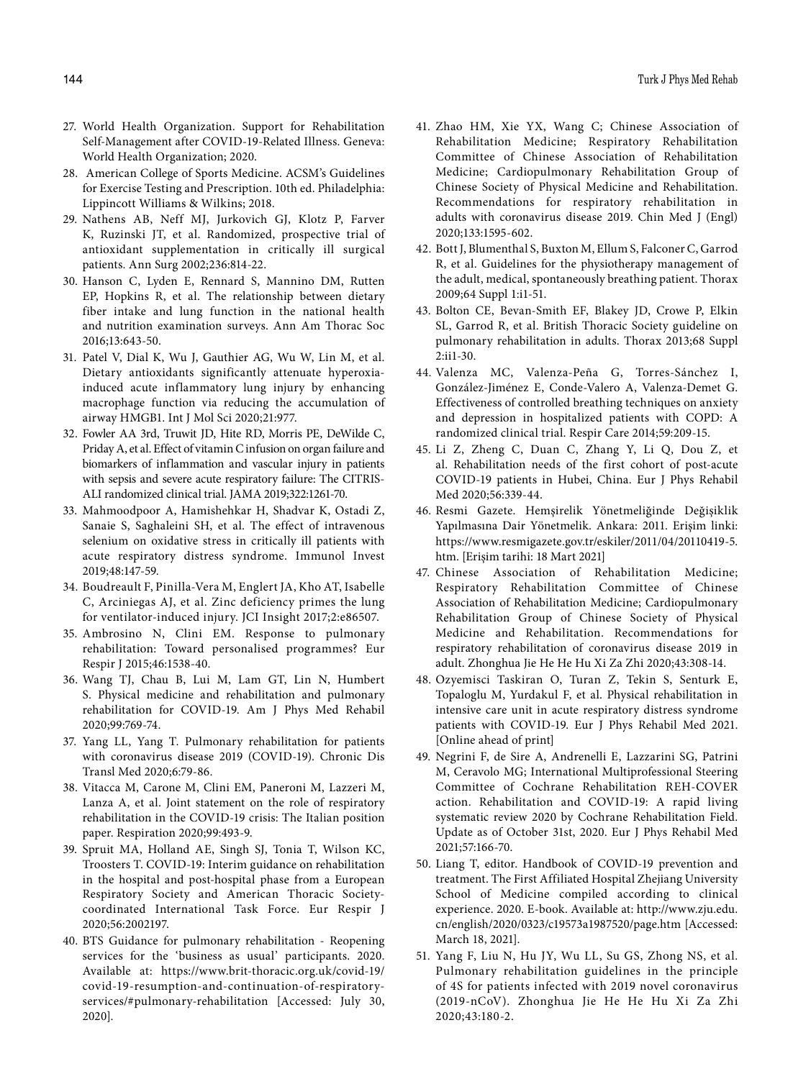- 27. World Health Organization. Support for Rehabilitation Self-Management after COVID-19-Related Illness. Geneva: World Health Organization; 2020.
- 28. American College of Sports Medicine. ACSM's Guidelines for Exercise Testing and Prescription. 10th ed. Philadelphia: Lippincott Williams & Wilkins; 2018.
- 29. Nathens AB, Neff MJ, Jurkovich GJ, Klotz P, Farver K, Ruzinski JT, et al. Randomized, prospective trial of antioxidant supplementation in critically ill surgical patients. Ann Surg 2002;236:814-22.
- 30. Hanson C, Lyden E, Rennard S, Mannino DM, Rutten EP, Hopkins R, et al. The relationship between dietary fiber intake and lung function in the national health and nutrition examination surveys. Ann Am Thorac Soc 2016;13:643-50.
- 31. Patel V, Dial K, Wu J, Gauthier AG, Wu W, Lin M, et al. Dietary antioxidants significantly attenuate hyperoxiainduced acute inflammatory lung injury by enhancing macrophage function via reducing the accumulation of airway HMGB1. Int J Mol Sci 2020;21:977.
- 32. Fowler AA 3rd, Truwit JD, Hite RD, Morris PE, DeWilde C, Priday A, et al. Effect of vitamin C infusion on organ failure and biomarkers of inflammation and vascular injury in patients with sepsis and severe acute respiratory failure: The CITRIS-ALI randomized clinical trial. JAMA 2019;322:1261-70.
- 33. Mahmoodpoor A, Hamishehkar H, Shadvar K, Ostadi Z, Sanaie S, Saghaleini SH, et al. The effect of intravenous selenium on oxidative stress in critically ill patients with acute respiratory distress syndrome. Immunol Invest 2019;48:147-59.
- 34. Boudreault F, Pinilla-Vera M, Englert JA, Kho AT, Isabelle C, Arciniegas AJ, et al. Zinc deficiency primes the lung for ventilator-induced injury. JCI Insight 2017;2:e86507.
- 35. Ambrosino N, Clini EM. Response to pulmonary rehabilitation: Toward personalised programmes? Eur Respir J 2015;46:1538-40.
- 36. Wang TJ, Chau B, Lui M, Lam GT, Lin N, Humbert S. Physical medicine and rehabilitation and pulmonary rehabilitation for COVID-19. Am J Phys Med Rehabil 2020;99:769-74.
- 37. Yang LL, Yang T. Pulmonary rehabilitation for patients with coronavirus disease 2019 (COVID-19). Chronic Dis Transl Med 2020;6:79-86.
- 38. Vitacca M, Carone M, Clini EM, Paneroni M, Lazzeri M, Lanza A, et al. Joint statement on the role of respiratory rehabilitation in the COVID-19 crisis: The Italian position paper. Respiration 2020;99:493-9.
- 39. Spruit MA, Holland AE, Singh SJ, Tonia T, Wilson KC, Troosters T. COVID-19: Interim guidance on rehabilitation in the hospital and post-hospital phase from a European Respiratory Society and American Thoracic Societycoordinated International Task Force. Eur Respir J 2020;56:2002197.
- 40. BTS Guidance for pulmonary rehabilitation Reopening services for the 'business as usual' participants. 2020. Available at: https://www.brit-thoracic.org.uk/covid-19/ covid-19-resumption-and-continuation-of-respiratoryservices/#pulmonary-rehabilitation [Accessed: July 30, 2020].
- 41. Zhao HM, Xie YX, Wang C; Chinese Association of Rehabilitation Medicine; Respiratory Rehabilitation Committee of Chinese Association of Rehabilitation Medicine; Cardiopulmonary Rehabilitation Group of Chinese Society of Physical Medicine and Rehabilitation. Recommendations for respiratory rehabilitation in adults with coronavirus disease 2019. Chin Med J (Engl) 2020;133:1595-602.
- 42. Bott J, Blumenthal S, Buxton M, Ellum S, Falconer C, Garrod R, et al. Guidelines for the physiotherapy management of the adult, medical, spontaneously breathing patient. Thorax 2009;64 Suppl 1:i1-51.
- 43. Bolton CE, Bevan-Smith EF, Blakey JD, Crowe P, Elkin SL, Garrod R, et al. British Thoracic Society guideline on pulmonary rehabilitation in adults. Thorax 2013;68 Suppl 2:ii1-30.
- 44. Valenza MC, Valenza-Peña G, Torres-Sánchez I, González-Jiménez E, Conde-Valero A, Valenza-Demet G. Effectiveness of controlled breathing techniques on anxiety and depression in hospitalized patients with COPD: A randomized clinical trial. Respir Care 2014;59:209-15.
- 45. Li Z, Zheng C, Duan C, Zhang Y, Li Q, Dou Z, et al. Rehabilitation needs of the first cohort of post-acute COVID-19 patients in Hubei, China. Eur J Phys Rehabil Med 2020;56:339-44.
- 46. Resmi Gazete. Hemşirelik Yönetmeliğinde Değişiklik Yapılmasına Dair Yönetmelik. Ankara: 2011. Erişim linki: https://www.resmigazete.gov.tr/eskiler/2011/04/20110419-5. htm. [Erişim tarihi: 18 Mart 2021]
- 47. Chinese Association of Rehabilitation Medicine; Respiratory Rehabilitation Committee of Chinese Association of Rehabilitation Medicine; Cardiopulmonary Rehabilitation Group of Chinese Society of Physical Medicine and Rehabilitation. Recommendations for respiratory rehabilitation of coronavirus disease 2019 in adult. Zhonghua Jie He He Hu Xi Za Zhi 2020;43:308-14.
- 48. Ozyemisci Taskiran O, Turan Z, Tekin S, Senturk E, Topaloglu M, Yurdakul F, et al. Physical rehabilitation in intensive care unit in acute respiratory distress syndrome patients with COVID-19. Eur J Phys Rehabil Med 2021. [Online ahead of print]
- 49. Negrini F, de Sire A, Andrenelli E, Lazzarini SG, Patrini M, Ceravolo MG; International Multiprofessional Steering Committee of Cochrane Rehabilitation REH-COVER action. Rehabilitation and COVID-19: A rapid living systematic review 2020 by Cochrane Rehabilitation Field. Update as of October 31st, 2020. Eur J Phys Rehabil Med 2021;57:166-70.
- 50. Liang T, editor. Handbook of COVID-19 prevention and treatment. The First Affiliated Hospital Zhejiang University School of Medicine compiled according to clinical experience. 2020. E-book. Available at: http://www.zju.edu. cn/english/2020/0323/c19573a1987520/page.htm [Accessed: March 18, 2021].
- 51. Yang F, Liu N, Hu JY, Wu LL, Su GS, Zhong NS, et al. Pulmonary rehabilitation guidelines in the principle of 4S for patients infected with 2019 novel coronavirus (2019-nCoV). Zhonghua Jie He He Hu Xi Za Zhi 2020;43:180-2.